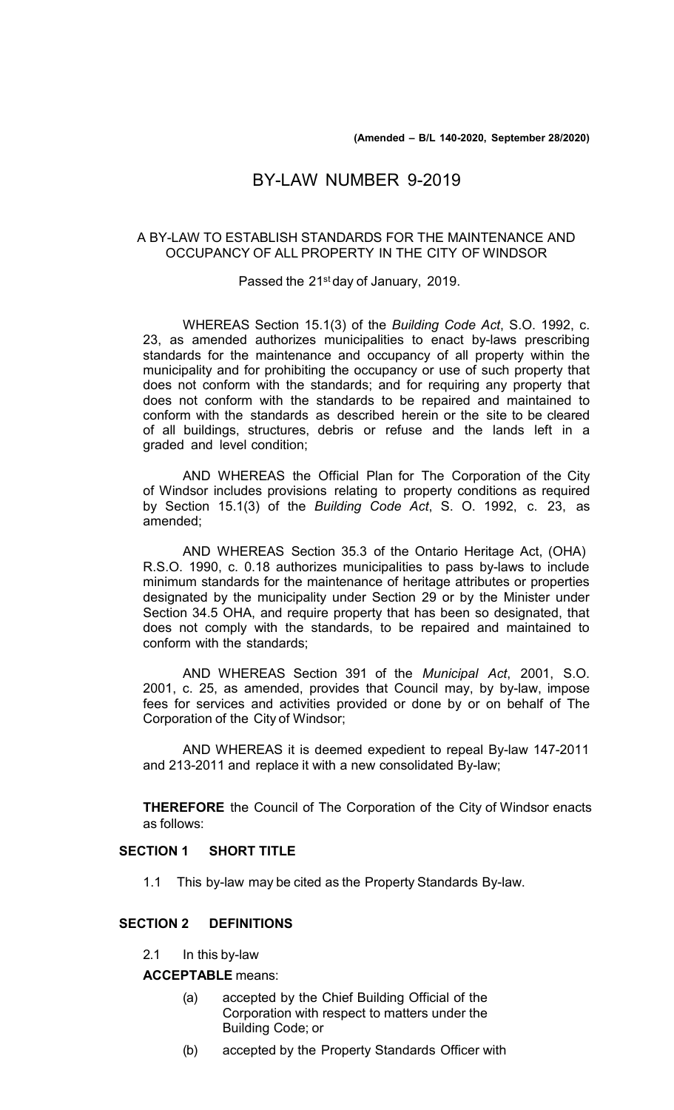# BY-LAW NUMBER 9-2019

### A BY-LAW TO ESTABLISH STANDARDS FOR THE MAINTENANCE AND OCCUPANCY OF ALL PROPERTY IN THE CITY OF WINDSOR

Passed the 21st day of January, 2019.

WHEREAS Section 15.1(3) of the *Building Code Act*, S.O. 1992, c. 23, as amended authorizes municipalities to enact by-laws prescribing standards for the maintenance and occupancy of all property within the municipality and for prohibiting the occupancy or use of such property that does not conform with the standards; and for requiring any property that does not conform with the standards to be repaired and maintained to conform with the standards as described herein or the site to be cleared of all buildings, structures, debris or refuse and the lands left in a graded and level condition;

AND WHEREAS the Official Plan for The Corporation of the City of Windsor includes provisions relating to property conditions as required by Section 15.1(3) of the *Building Code Act*, S. O. 1992, c. 23, as amended;

AND WHEREAS Section 35.3 of the Ontario Heritage Act, (OHA) R.S.O. 1990, c. 0.18 authorizes municipalities to pass by-laws to include minimum standards for the maintenance of heritage attributes or properties designated by the municipality under Section 29 or by the Minister under Section 34.5 OHA, and require property that has been so designated, that does not comply with the standards, to be repaired and maintained to conform with the standards;

AND WHEREAS Section 391 of the *Municipal Act*, 2001, S.O. 2001, c. 25, as amended, provides that Council may, by by-law, impose fees for services and activities provided or done by or on behalf of The Corporation of the City of Windsor;

AND WHEREAS it is deemed expedient to repeal By-law 147-2011 and 213-2011 and replace it with a new consolidated By-law;

**THEREFORE** the Council of The Corporation of the City of Windsor enacts as follows:

### **SECTION 1 SHORT TITLE**

1.1 This by-law may be cited as the Property Standards By-law.

# **SECTION 2 DEFINITIONS**

2.1 In this by-law

**ACCEPTABLE** means:

- (a) accepted by the Chief Building Official of the Corporation with respect to matters under the Building Code; or
- (b) accepted by the Property Standards Officer with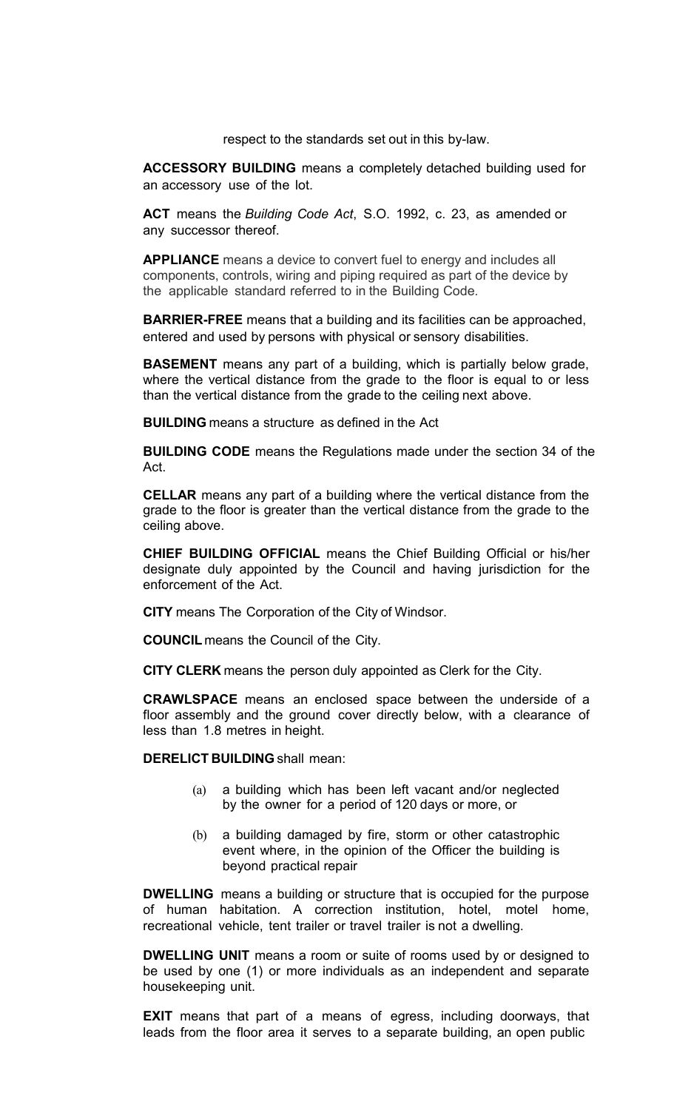respect to the standards set out in this by-law.

**ACCESSORY BUILDING** means a completely detached building used for an accessory use of the lot.

**ACT** means the *Building Code Act*, S.O. 1992, c. 23, as amended or any successor thereof.

**APPLIANCE** means a device to convert fuel to energy and includes all components, controls, wiring and piping required as part of the device by the applicable standard referred to in the Building Code*.*

**BARRIER-FREE** means that a building and its facilities can be approached, entered and used by persons with physical or sensory disabilities.

**BASEMENT** means any part of a building, which is partially below grade, where the vertical distance from the grade to the floor is equal to or less than the vertical distance from the grade to the ceiling next above.

**BUILDING** means a structure as defined in the Act

**BUILDING CODE** means the Regulations made under the section 34 of the Act.

**CELLAR** means any part of a building where the vertical distance from the grade to the floor is greater than the vertical distance from the grade to the ceiling above.

**CHIEF BUILDING OFFICIAL** means the Chief Building Official or his/her designate duly appointed by the Council and having jurisdiction for the enforcement of the Act.

**CITY** means The Corporation of the City of Windsor.

**COUNCIL** means the Council of the City.

**CITY CLERK** means the person duly appointed as Clerk for the City.

**CRAWLSPACE** means an enclosed space between the underside of a floor assembly and the ground cover directly below, with a clearance of less than 1.8 metres in height.

**DERELICT BUILDING** shall mean:

- (a) a building which has been left vacant and/or neglected by the owner for a period of 120 days or more, or
- (b) a building damaged by fire, storm or other catastrophic event where, in the opinion of the Officer the building is beyond practical repair

**DWELLING** means a building or structure that is occupied for the purpose of human habitation. A correction institution, hotel, motel home, recreational vehicle, tent trailer or travel trailer is not a dwelling.

**DWELLING UNIT** means a room or suite of rooms used by or designed to be used by one (1) or more individuals as an independent and separate housekeeping unit.

**EXIT** means that part of a means of egress, including doorways, that leads from the floor area it serves to a separate building, an open public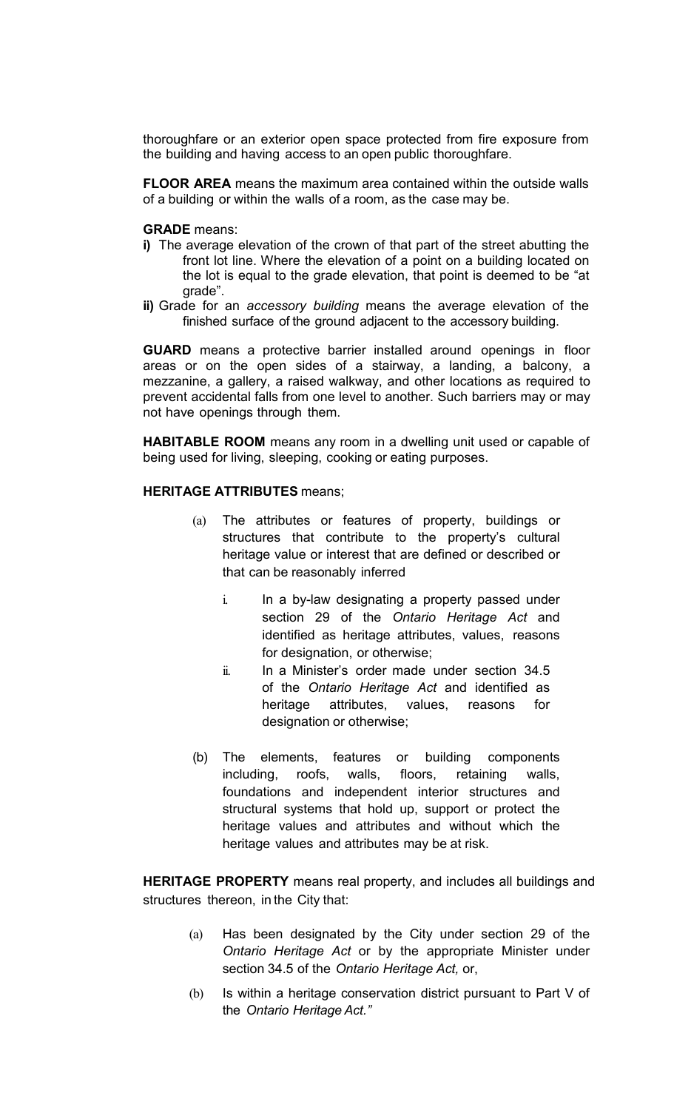thoroughfare or an exterior open space protected from fire exposure from the building and having access to an open public thoroughfare.

**FLOOR AREA** means the maximum area contained within the outside walls of a building or within the walls of a room, as the case may be.

#### **GRADE** means:

- **i)** The average elevation of the crown of that part of the street abutting the front lot line. Where the elevation of a point on a building located on the lot is equal to the grade elevation, that point is deemed to be "at grade".
- **ii)** Grade for an *accessory building* means the average elevation of the finished surface of the ground adjacent to the accessory building.

**GUARD** means a protective barrier installed around openings in floor areas or on the open sides of a stairway, a landing, a balcony, a mezzanine, a gallery, a raised walkway, and other locations as required to prevent accidental falls from one level to another. Such barriers may or may not have openings through them.

**HABITABLE ROOM** means any room in a dwelling unit used or capable of being used for living, sleeping, cooking or eating purposes.

## **HERITAGE ATTRIBUTES** means;

- (a) The attributes or features of property, buildings or structures that contribute to the property's cultural heritage value or interest that are defined or described or that can be reasonably inferred
	- i. In a by-law designating a property passed under section 29 of the *Ontario Heritage Act* and identified as heritage attributes, values, reasons for designation, or otherwise;
	- ii. In a Minister's order made under section 34.5 of the *Ontario Heritage Act* and identified as heritage attributes, values, reasons for designation or otherwise;
- (b) The elements, features or building components including, roofs, walls, floors, retaining walls, foundations and independent interior structures and structural systems that hold up, support or protect the heritage values and attributes and without which the heritage values and attributes may be at risk.

**HERITAGE PROPERTY** means real property, and includes all buildings and structures thereon, in the City that:

- (a) Has been designated by the City under section 29 of the *Ontario Heritage Act* or by the appropriate Minister under section 34.5 of the *Ontario Heritage Act,* or,
- (b) Is within a heritage conservation district pursuant to Part V of the *Ontario Heritage Act."*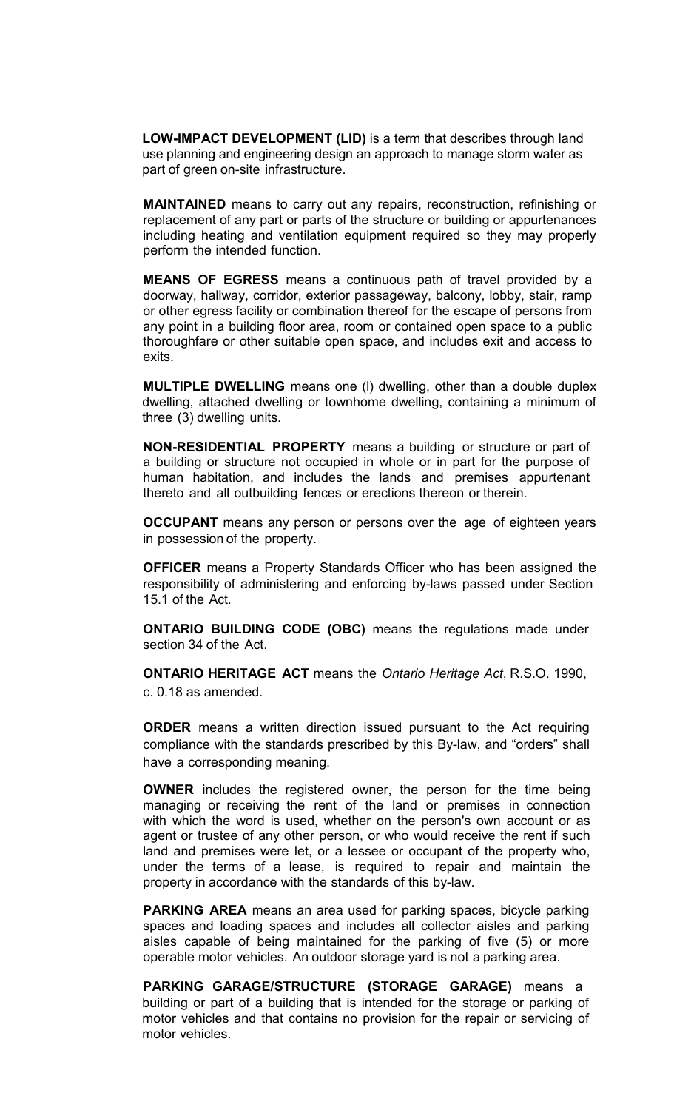**LOW-IMPACT DEVELOPMENT (LID)** is a term that describes through land use planning and engineering design an approach to manage storm water as part of green on-site infrastructure.

**MAINTAINED** means to carry out any repairs, reconstruction, refinishing or replacement of any part or parts of the structure or building or appurtenances including heating and ventilation equipment required so they may properly perform the intended function.

**MEANS OF EGRESS** means a continuous path of travel provided by a doorway, hallway, corridor, exterior passageway, balcony, lobby, stair, ramp or other egress facility or combination thereof for the escape of persons from any point in a building floor area, room or contained open space to a public thoroughfare or other suitable open space, and includes exit and access to exits.

**MULTIPLE DWELLING** means one (l) dwelling, other than a double duplex dwelling, attached dwelling or townhome dwelling, containing a minimum of three (3) dwelling units.

**NON-RESIDENTIAL PROPERTY** means a building or structure or part of a building or structure not occupied in whole or in part for the purpose of human habitation, and includes the lands and premises appurtenant thereto and all outbuilding fences or erections thereon or therein.

**OCCUPANT** means any person or persons over the age of eighteen years in possession of the property.

**OFFICER** means a Property Standards Officer who has been assigned the responsibility of administering and enforcing by-laws passed under Section 15.1 of the Act.

**ONTARIO BUILDING CODE (OBC)** means the regulations made under section 34 of the Act.

**ONTARIO HERITAGE ACT** means the *Ontario Heritage Act*, R.S.O. 1990, c. 0.18 as amended.

**ORDER** means a written direction issued pursuant to the Act requiring compliance with the standards prescribed by this By-law, and "orders" shall have a corresponding meaning.

**OWNER** includes the registered owner, the person for the time being managing or receiving the rent of the land or premises in connection with which the word is used, whether on the person's own account or as agent or trustee of any other person, or who would receive the rent if such land and premises were let, or a lessee or occupant of the property who, under the terms of a lease, is required to repair and maintain the property in accordance with the standards of this by-law.

**PARKING AREA** means an area used for parking spaces, bicycle parking spaces and loading spaces and includes all collector aisles and parking aisles capable of being maintained for the parking of five (5) or more operable motor vehicles. An outdoor storage yard is not a parking area.

**PARKING GARAGE/STRUCTURE (STORAGE GARAGE)** means a building or part of a building that is intended for the storage or parking of motor vehicles and that contains no provision for the repair or servicing of motor vehicles.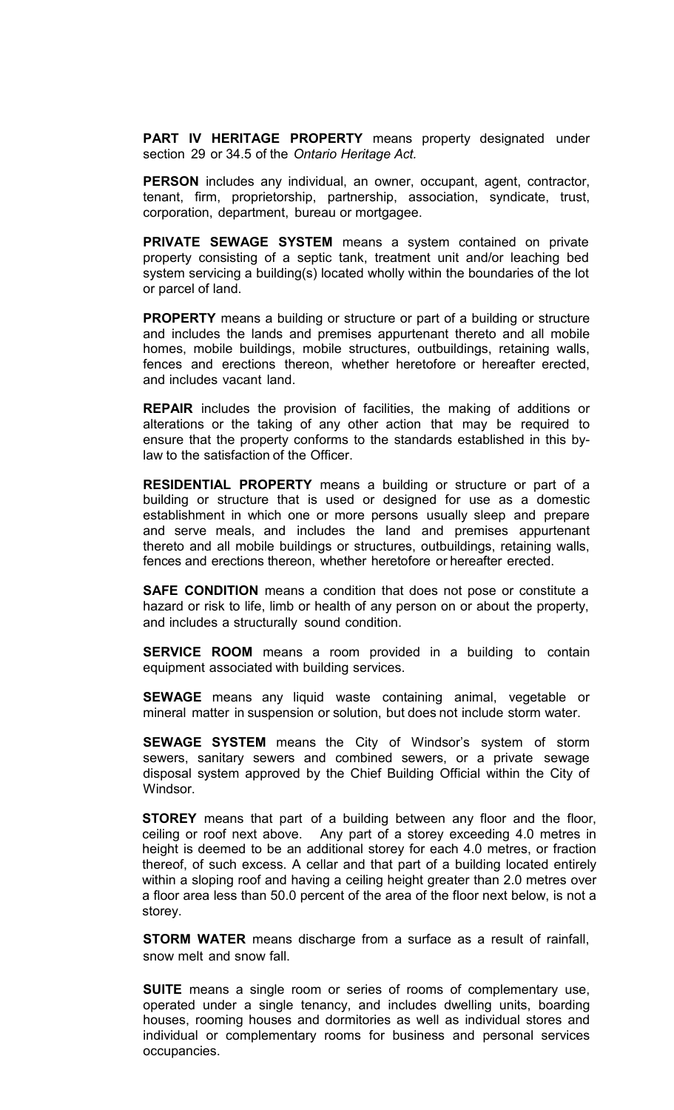**PART IV HERITAGE PROPERTY** means property designated under section 29 or 34.5 of the *Ontario Heritage Act.*

**PERSON** includes any individual, an owner, occupant, agent, contractor, tenant, firm, proprietorship, partnership, association, syndicate, trust, corporation, department, bureau or mortgagee.

**PRIVATE SEWAGE SYSTEM** means a system contained on private property consisting of a septic tank, treatment unit and/or leaching bed system servicing a building(s) located wholly within the boundaries of the lot or parcel of land.

**PROPERTY** means a building or structure or part of a building or structure and includes the lands and premises appurtenant thereto and all mobile homes, mobile buildings, mobile structures, outbuildings, retaining walls, fences and erections thereon, whether heretofore or hereafter erected, and includes vacant land.

**REPAIR** includes the provision of facilities, the making of additions or alterations or the taking of any other action that may be required to ensure that the property conforms to the standards established in this bylaw to the satisfaction of the Officer.

**RESIDENTIAL PROPERTY** means a building or structure or part of a building or structure that is used or designed for use as a domestic establishment in which one or more persons usually sleep and prepare and serve meals, and includes the land and premises appurtenant thereto and all mobile buildings or structures, outbuildings, retaining walls, fences and erections thereon, whether heretofore or hereafter erected.

**SAFE CONDITION** means a condition that does not pose or constitute a hazard or risk to life, limb or health of any person on or about the property, and includes a structurally sound condition.

**SERVICE ROOM** means a room provided in a building to contain equipment associated with building services.

**SEWAGE** means any liquid waste containing animal, vegetable or mineral matter in suspension or solution, but does not include storm water.

**SEWAGE SYSTEM** means the City of Windsor's system of storm sewers, sanitary sewers and combined sewers, or a private sewage disposal system approved by the Chief Building Official within the City of Windsor.

**STOREY** means that part of a building between any floor and the floor, ceiling or roof next above. Any part of a storey exceeding 4.0 metres in height is deemed to be an additional storey for each 4.0 metres, or fraction thereof, of such excess. A cellar and that part of a building located entirely within a sloping roof and having a ceiling height greater than 2.0 metres over a floor area less than 50.0 percent of the area of the floor next below, is not a storey.

**STORM WATER** means discharge from a surface as a result of rainfall, snow melt and snow fall.

**SUITE** means a single room or series of rooms of complementary use, operated under a single tenancy, and includes dwelling units, boarding houses, rooming houses and dormitories as well as individual stores and individual or complementary rooms for business and personal services occupancies.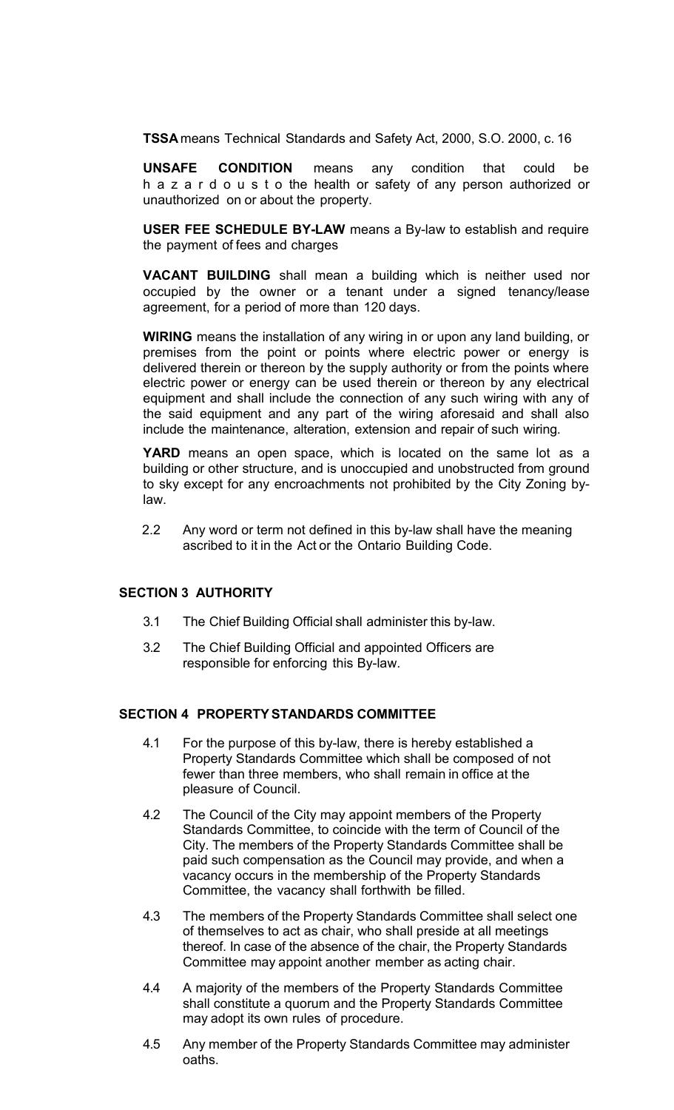**TSSA** means Technical Standards and Safety Act, 2000, S.O. 2000, c. 16

**UNSAFE CONDITION** means any condition that could be h a z a r d o u s t o the health or safety of any person authorized or unauthorized on or about the property.

**USER FEE SCHEDULE BY-LAW** means a By-law to establish and require the payment of fees and charges

**VACANT BUILDING** shall mean a building which is neither used nor occupied by the owner or a tenant under a signed tenancy/lease agreement, for a period of more than 120 days.

**WIRING** means the installation of any wiring in or upon any land building, or premises from the point or points where electric power or energy is delivered therein or thereon by the supply authority or from the points where electric power or energy can be used therein or thereon by any electrical equipment and shall include the connection of any such wiring with any of the said equipment and any part of the wiring aforesaid and shall also include the maintenance, alteration, extension and repair of such wiring.

**YARD** means an open space, which is located on the same lot as a building or other structure, and is unoccupied and unobstructed from ground to sky except for any encroachments not prohibited by the City Zoning bylaw.

2.2 Any word or term not defined in this by-law shall have the meaning ascribed to it in the Act or the Ontario Building Code.

## **SECTION 3 AUTHORITY**

- 3.1 The Chief Building Official shall administer this by-law.
- 3.2 The Chief Building Official and appointed Officers are responsible for enforcing this By-law.

### **SECTION 4 PROPERTYSTANDARDS COMMITTEE**

- 4.1 For the purpose of this by-law, there is hereby established a Property Standards Committee which shall be composed of not fewer than three members, who shall remain in office at the pleasure of Council.
- 4.2 The Council of the City may appoint members of the Property Standards Committee, to coincide with the term of Council of the City. The members of the Property Standards Committee shall be paid such compensation as the Council may provide, and when a vacancy occurs in the membership of the Property Standards Committee, the vacancy shall forthwith be filled.
- 4.3 The members of the Property Standards Committee shall select one of themselves to act as chair, who shall preside at all meetings thereof. In case of the absence of the chair, the Property Standards Committee may appoint another member as acting chair.
- 4.4 A majority of the members of the Property Standards Committee shall constitute a quorum and the Property Standards Committee may adopt its own rules of procedure.
- 4.5 Any member of the Property Standards Committee may administer oaths.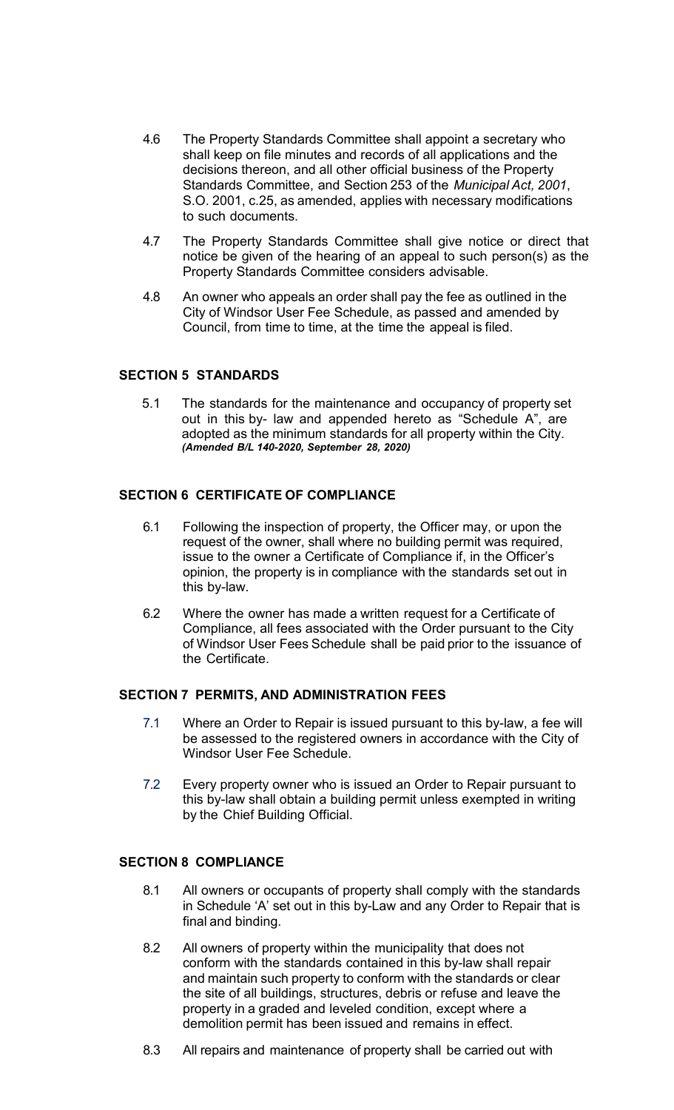- 4.6 The Property Standards Committee shall appoint a secretary who shall keep on file minutes and records of all applications and the decisions thereon, and all other official business of the Property Standards Committee, and Section 253 of the *Municipal Act, 2001*, S.O. 2001, c.25, as amended, applies with necessary modifications to such documents.
- 4.7 The Property Standards Committee shall give notice or direct that notice be given of the hearing of an appeal to such person(s) as the Property Standards Committee considers advisable.
- 4.8 An owner who appeals an order shall pay the fee as outlined in the City of Windsor User Fee Schedule, as passed and amended by Council, from time to time, at the time the appeal is filed.

# **SECTION 5 STANDARDS**

5.1 The standards for the maintenance and occupancy of property set out in this by- law and appended hereto as "Schedule A", are adopted as the minimum standards for all property within the City. *(Amended B/L 140-2020, September 28, 2020)*

## **SECTION 6 CERTIFICATE OF COMPLIANCE**

- 6.1 Following the inspection of property, the Officer may, or upon the request of the owner, shall where no building permit was required, issue to the owner a Certificate of Compliance if, in the Officer's opinion, the property is in compliance with the standards set out in this by-law.
- 6.2 Where the owner has made a written request for a Certificate of Compliance, all fees associated with the Order pursuant to the City of Windsor User Fees Schedule shall be paid prior to the issuance of the Certificate.

## **SECTION 7 PERMITS, AND ADMINISTRATION FEES**

- 7.1 Where an Order to Repair is issued pursuant to this by-law, a fee will be assessed to the registered owners in accordance with the City of Windsor User Fee Schedule.
- 7.2 Every property owner who is issued an Order to Repair pursuant to this by-law shall obtain a building permit unless exempted in writing by the Chief Building Official.

# **SECTION 8 COMPLIANCE**

- 8.1 All owners or occupants of property shall comply with the standards in Schedule 'A' set out in this by-Law and any Order to Repair that is final and binding.
- 8.2 All owners of property within the municipality that does not conform with the standards contained in this by-law shall repair and maintain such property to conform with the standards or clear the site of all buildings, structures, debris or refuse and leave the property in a graded and leveled condition, except where a demolition permit has been issued and remains in effect.
- 8.3 All repairs and maintenance of property shall be carried out with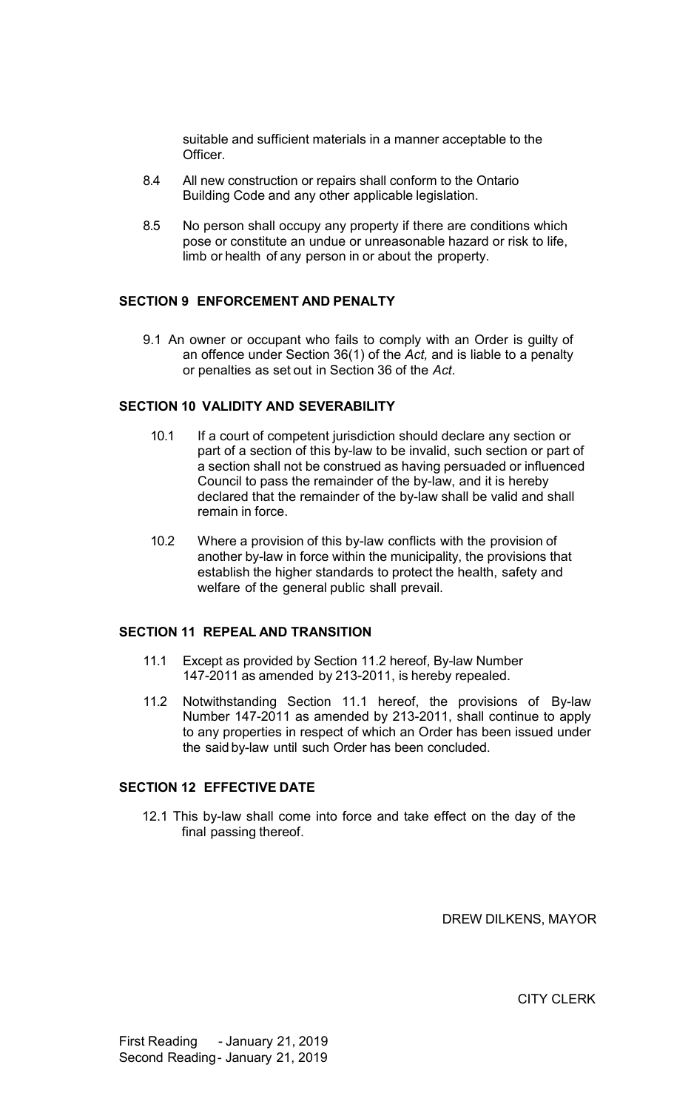suitable and sufficient materials in a manner acceptable to the Officer.

- 8.4 All new construction or repairs shall conform to the Ontario Building Code and any other applicable legislation.
- 8.5 No person shall occupy any property if there are conditions which pose or constitute an undue or unreasonable hazard or risk to life, limb or health of any person in or about the property.

## **SECTION 9 ENFORCEMENT AND PENALTY**

9.1 An owner or occupant who fails to comply with an Order is guilty of an offence under Section 36(1) of the *Act,* and is liable to a penalty or penalties as set out in Section 36 of the *Act*.

# **SECTION 10 VALIDITY AND SEVERABILITY**

- 10.1 If a court of competent jurisdiction should declare any section or part of a section of this by-law to be invalid, such section or part of a section shall not be construed as having persuaded or influenced Council to pass the remainder of the by-law, and it is hereby declared that the remainder of the by-law shall be valid and shall remain in force.
- 10.2 Where a provision of this by-law conflicts with the provision of another by-law in force within the municipality, the provisions that establish the higher standards to protect the health, safety and welfare of the general public shall prevail.

### **SECTION 11 REPEAL AND TRANSITION**

- 11.1 Except as provided by Section 11.2 hereof, By-law Number 147-2011 as amended by 213-2011, is hereby repealed.
- 11.2 Notwithstanding Section 11.1 hereof, the provisions of By-law Number 147-2011 as amended by 213-2011, shall continue to apply to any properties in respect of which an Order has been issued under the said by-law until such Order has been concluded.

# **SECTION 12 EFFECTIVE DATE**

12.1 This by-law shall come into force and take effect on the day of the final passing thereof.

DREW DILKENS, MAYOR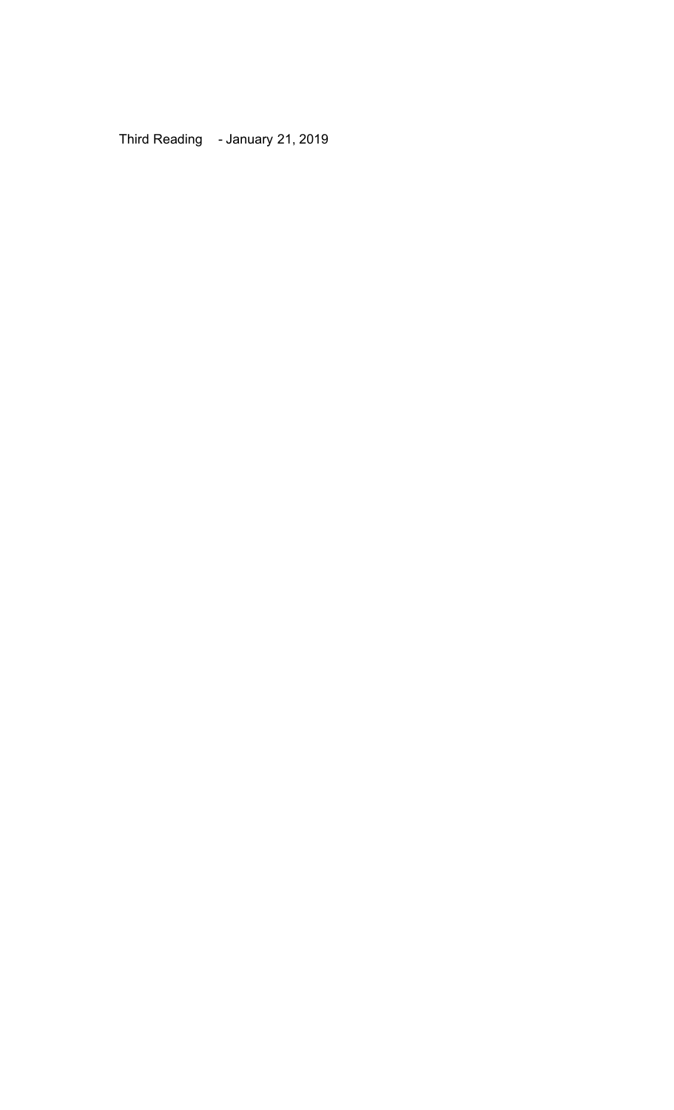Third Reading - January 21, 2019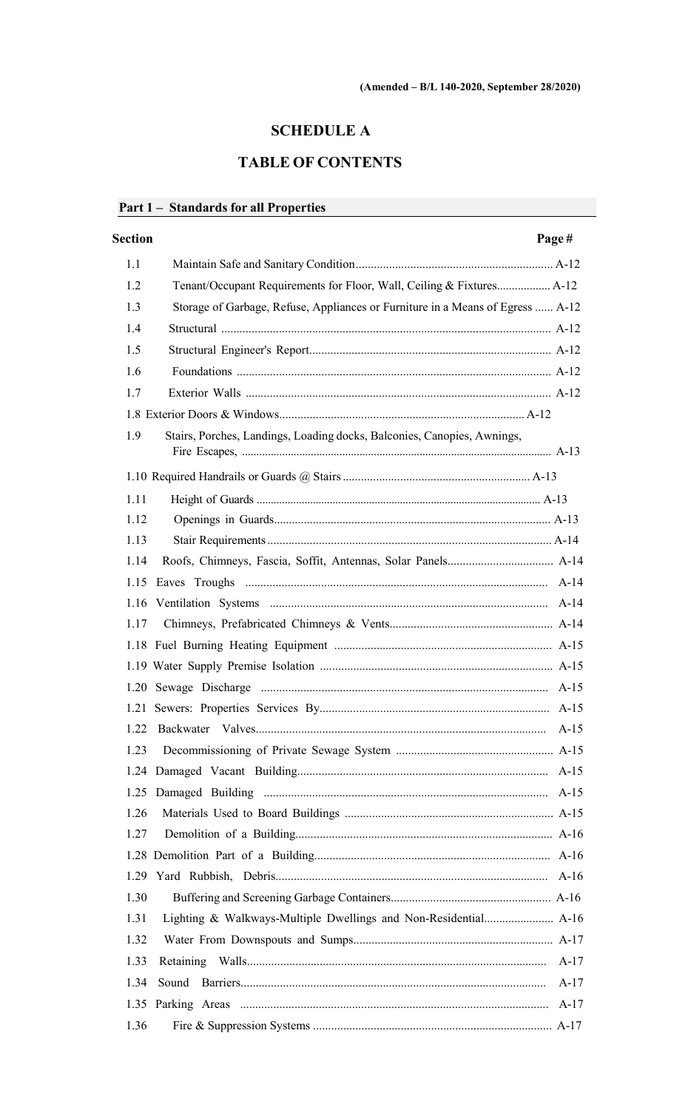# **SCHEDULE A**

# **TABLE OF CONTENTS**

# Part 1 - Standards for all Properties

| <b>Section</b>                                                                        | Page#  |
|---------------------------------------------------------------------------------------|--------|
| 1.1                                                                                   |        |
| Tenant/Occupant Requirements for Floor, Wall, Ceiling & Fixtures A-12<br>1.2          |        |
| 1.3<br>Storage of Garbage, Refuse, Appliances or Furniture in a Means of Egress  A-12 |        |
| 1.4                                                                                   |        |
| 1.5                                                                                   |        |
| 1.6                                                                                   |        |
| 1.7                                                                                   |        |
|                                                                                       |        |
| 1.9<br>Stairs, Porches, Landings, Loading docks, Balconies, Canopies, Awnings,        |        |
|                                                                                       |        |
| 1.11                                                                                  |        |
| 1.12                                                                                  |        |
| 1.13                                                                                  |        |
| 1.14                                                                                  |        |
|                                                                                       |        |
|                                                                                       |        |
| 1.17                                                                                  |        |
|                                                                                       |        |
|                                                                                       |        |
|                                                                                       |        |
|                                                                                       |        |
| 1.22                                                                                  |        |
| 1.23                                                                                  |        |
|                                                                                       |        |
|                                                                                       |        |
| 1.26                                                                                  |        |
| 1.27                                                                                  |        |
|                                                                                       |        |
| 1.29                                                                                  |        |
| 1.30                                                                                  |        |
| 1.31                                                                                  |        |
| 1.32                                                                                  |        |
| 1.33                                                                                  | A-17   |
| 1.34                                                                                  | $A-17$ |
|                                                                                       |        |
| 1.36                                                                                  |        |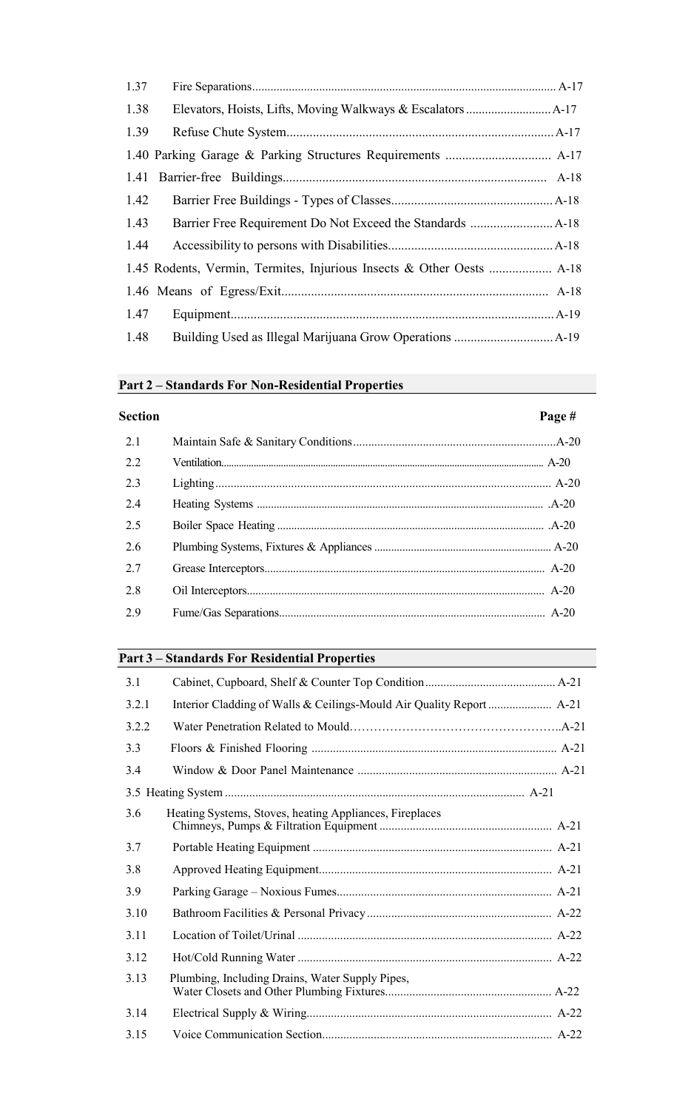| 1.37 |  |
|------|--|
| 1.38 |  |
| 1.39 |  |
|      |  |
|      |  |
| 1.42 |  |
| 1.43 |  |
| 1.44 |  |
|      |  |
|      |  |
| 1.47 |  |
| 1.48 |  |

#### **Part 2 – Standards For Non-Residential Properties**

# **Section Page #** 2.1 Maintain Safe & Sanitary Conditions...................................................................A-20 2.2 Ventilation.................................................................................................................................. A-20 2.3 Lighting............................................................................................................... A-20 2.4 Heating Systems ...................................................................................................... .A-20 2.5 Boiler Space Heating ............................................................................................... .A-20 2.6 Plumbing Systems, Fixtures & Appliances............................................................... A-20 2.7 Grease Interceptors.................................................................................................. A-20 2.8 Oil Interceptors........................................................................................................ A-20 2.9 Fume/Gas Separations............................................................................................. A-20

# **Part 3 – Standards For Residential Properties**

| 3.1   |                                                         |  |
|-------|---------------------------------------------------------|--|
| 3.2.1 |                                                         |  |
| 3.2.2 |                                                         |  |
| 3.3   |                                                         |  |
| 3.4   |                                                         |  |
|       |                                                         |  |
| 3.6   | Heating Systems, Stoves, heating Appliances, Fireplaces |  |
| 3.7   |                                                         |  |
| 3.8   |                                                         |  |
| 3.9   |                                                         |  |
| 3.10  |                                                         |  |
| 3.11  |                                                         |  |
| 3.12  |                                                         |  |
| 3.13  | Plumbing, Including Drains, Water Supply Pipes,         |  |
| 3.14  |                                                         |  |
| 3.15  |                                                         |  |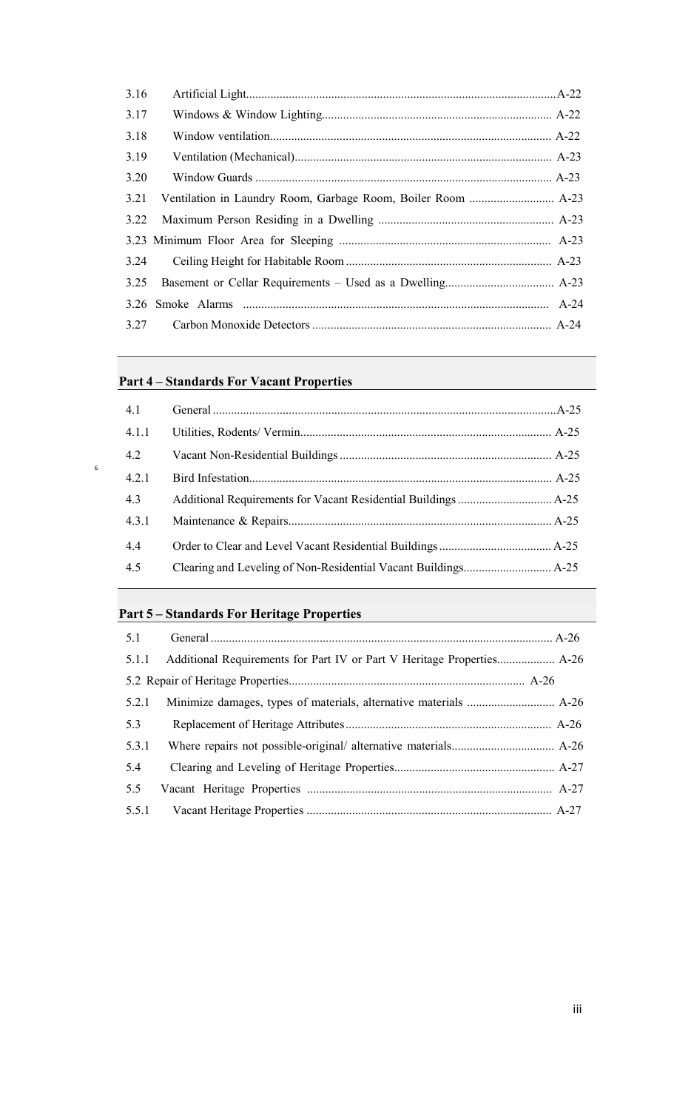| 3.16 |  |
|------|--|
| 3.17 |  |
| 3.18 |  |
| 3.19 |  |
| 3.20 |  |
| 3.21 |  |
| 3.22 |  |
|      |  |
| 3.24 |  |
| 3.25 |  |
|      |  |
| 3.27 |  |

# **Part 4 – Standards For Vacant Properties**

6

| 4.1   |  |
|-------|--|
| 4.1.1 |  |
| 4.2   |  |
| 4.2.1 |  |
| 4.3   |  |
| 4.3.1 |  |
| 4.4   |  |
| 4.5   |  |

# **Part 5 – Standards For Heritage Properties**

| 5.1.1 |  |
|-------|--|
|       |  |
| 5.2.1 |  |
| 5.3   |  |
| 5.3.1 |  |
| 5.4   |  |
| 5.5   |  |
|       |  |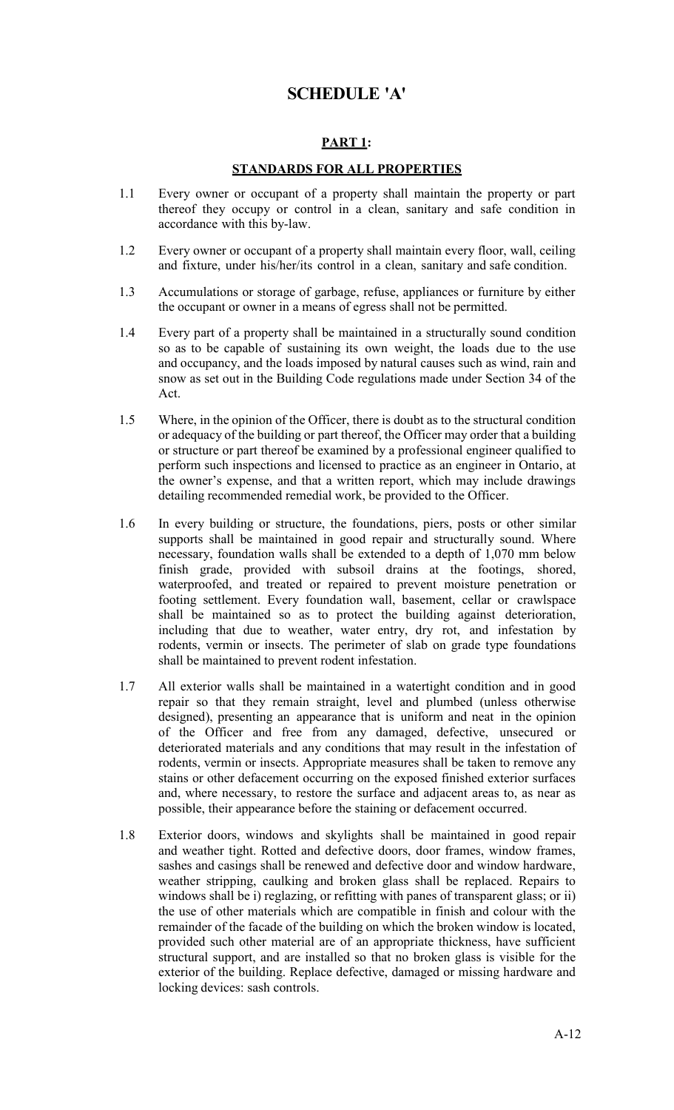# **SCHEDULE 'A'**

# **PART 1:**

#### **STANDARDS FOR ALL PROPERTIES**

- 1.1 Every owner or occupant of a property shall maintain the property or part thereof they occupy or control in a clean, sanitary and safe condition in accordance with this by-law.
- 1.2 Every owner or occupant of a property shall maintain every floor, wall, ceiling and fixture, under his/her/its control in a clean, sanitary and safe condition.
- 1.3 Accumulations or storage of garbage, refuse, appliances or furniture by either the occupant or owner in a means of egress shall not be permitted.
- 1.4 Every part of a property shall be maintained in a structurally sound condition so as to be capable of sustaining its own weight, the loads due to the use and occupancy, and the loads imposed by natural causes such as wind, rain and snow as set out in the Building Code regulations made under Section 34 of the Act.
- 1.5 Where, in the opinion of the Officer, there is doubt as to the structural condition or adequacy of the building or part thereof, the Officer may order that a building or structure or part thereof be examined by a professional engineer qualified to perform such inspections and licensed to practice as an engineer in Ontario, at the owner's expense, and that a written report, which may include drawings detailing recommended remedial work, be provided to the Officer.
- 1.6 In every building or structure, the foundations, piers, posts or other similar supports shall be maintained in good repair and structurally sound. Where necessary, foundation walls shall be extended to a depth of 1,070 mm below finish grade, provided with subsoil drains at the footings, shored, waterproofed, and treated or repaired to prevent moisture penetration or footing settlement. Every foundation wall, basement, cellar or crawlspace shall be maintained so as to protect the building against deterioration, including that due to weather, water entry, dry rot, and infestation by rodents, vermin or insects. The perimeter of slab on grade type foundations shall be maintained to prevent rodent infestation.
- 1.7 All exterior walls shall be maintained in a watertight condition and in good repair so that they remain straight, level and plumbed (unless otherwise designed), presenting an appearance that is uniform and neat in the opinion of the Officer and free from any damaged, defective, unsecured or deteriorated materials and any conditions that may result in the infestation of rodents, vermin or insects. Appropriate measures shall be taken to remove any stains or other defacement occurring on the exposed finished exterior surfaces and, where necessary, to restore the surface and adjacent areas to, as near as possible, their appearance before the staining or defacement occurred.
- 1.8 Exterior doors, windows and skylights shall be maintained in good repair and weather tight. Rotted and defective doors, door frames, window frames, sashes and casings shall be renewed and defective door and window hardware, weather stripping, caulking and broken glass shall be replaced. Repairs to windows shall be i) reglazing, or refitting with panes of transparent glass; or ii) the use of other materials which are compatible in finish and colour with the remainder of the facade of the building on which the broken window is located, provided such other material are of an appropriate thickness, have sufficient structural support, and are installed so that no broken glass is visible for the exterior of the building. Replace defective, damaged or missing hardware and locking devices: sash controls.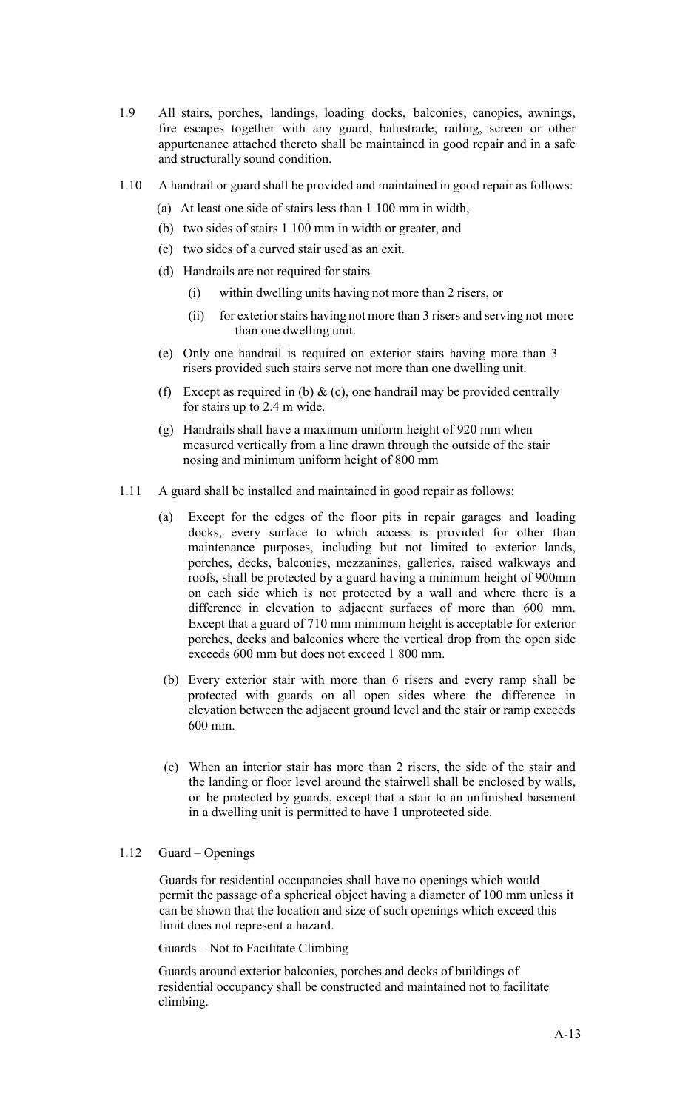- 1.9 All stairs, porches, landings, loading docks, balconies, canopies, awnings, fire escapes together with any guard, balustrade, railing, screen or other appurtenance attached thereto shall be maintained in good repair and in a safe and structurally sound condition.
- 1.10 A handrail or guard shall be provided and maintained in good repair as follows:
	- (a) At least one side of stairs less than 1 100 mm in width,
	- (b) two sides of stairs 1 100 mm in width or greater, and
	- (c) two sides of a curved stair used as an exit.
	- (d) Handrails are not required for stairs
		- (i) within dwelling units having not more than 2 risers, or
		- (ii) for exterior stairs having not more than 3 risers and serving not more than one dwelling unit.
	- (e) Only one handrail is required on exterior stairs having more than 3 risers provided such stairs serve not more than one dwelling unit.
	- (f) Except as required in (b)  $\&$  (c), one handrail may be provided centrally for stairs up to 2.4 m wide.
	- (g) Handrails shall have a maximum uniform height of 920 mm when measured vertically from a line drawn through the outside of the stair nosing and minimum uniform height of 800 mm
- 1.11 A guard shall be installed and maintained in good repair as follows:
	- (a) Except for the edges of the floor pits in repair garages and loading docks, every surface to which access is provided for other than maintenance purposes, including but not limited to exterior lands, porches, decks, balconies, mezzanines, galleries, raised walkways and roofs, shall be protected by a guard having a minimum height of 900mm on each side which is not protected by a wall and where there is a difference in elevation to adjacent surfaces of more than 600 mm. Except that a guard of 710 mm minimum height is acceptable for exterior porches, decks and balconies where the vertical drop from the open side exceeds 600 mm but does not exceed 1 800 mm.
	- (b) Every exterior stair with more than 6 risers and every ramp shall be protected with guards on all open sides where the difference in elevation between the adjacent ground level and the stair or ramp exceeds 600 mm.
	- (c) When an interior stair has more than 2 risers, the side of the stair and the landing or floor level around the stairwell shall be enclosed by walls, or be protected by guards, except that a stair to an unfinished basement in a dwelling unit is permitted to have 1 unprotected side.

#### 1.12 Guard – Openings

Guards for residential occupancies shall have no openings which would permit the passage of a spherical object having a diameter of 100 mm unless it can be shown that the location and size of such openings which exceed this limit does not represent a hazard.

Guards – Not to Facilitate Climbing

Guards around exterior balconies, porches and decks of buildings of residential occupancy shall be constructed and maintained not to facilitate climbing.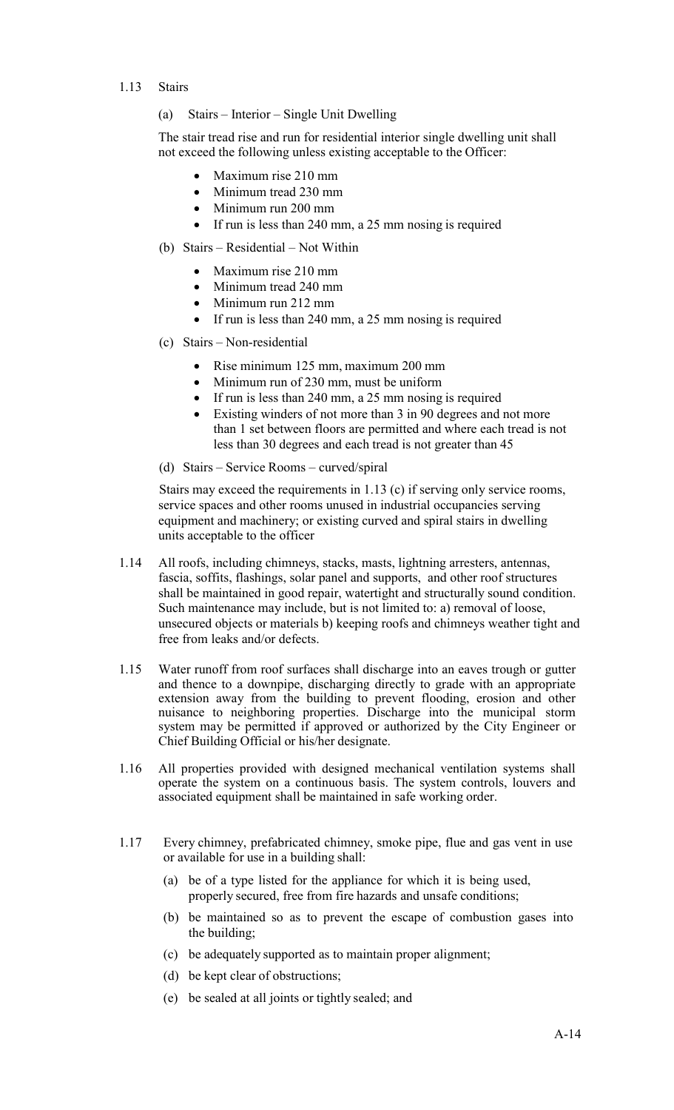- 1.13 Stairs
	- (a) Stairs Interior Single Unit Dwelling

The stair tread rise and run for residential interior single dwelling unit shall not exceed the following unless existing acceptable to the Officer:

- Maximum rise 210 mm
- Minimum tread 230 mm
- Minimum run 200 mm
- If run is less than 240 mm, a 25 mm nosing is required
- (b) Stairs Residential Not Within
	- Maximum rise 210 mm
	- Minimum tread 240 mm
	- Minimum run 212 mm
	- If run is less than 240 mm, a 25 mm nosing is required
- (c) Stairs Non-residential
	- Rise minimum 125 mm, maximum 200 mm
	- Minimum run of 230 mm, must be uniform
	- If run is less than 240 mm, a 25 mm nosing is required
	- Existing winders of not more than 3 in 90 degrees and not more than 1 set between floors are permitted and where each tread is not less than 30 degrees and each tread is not greater than 45
- (d) Stairs Service Rooms curved/spiral

Stairs may exceed the requirements in 1.13 (c) if serving only service rooms, service spaces and other rooms unused in industrial occupancies serving equipment and machinery; or existing curved and spiral stairs in dwelling units acceptable to the officer

- 1.14 All roofs, including chimneys, stacks, masts, lightning arresters, antennas, fascia, soffits, flashings, solar panel and supports, and other roof structures shall be maintained in good repair, watertight and structurally sound condition. Such maintenance may include, but is not limited to: a) removal of loose, unsecured objects or materials b) keeping roofs and chimneys weather tight and free from leaks and/or defects.
- 1.15 Water runoff from roof surfaces shall discharge into an eaves trough or gutter and thence to a downpipe, discharging directly to grade with an appropriate extension away from the building to prevent flooding, erosion and other nuisance to neighboring properties. Discharge into the municipal storm system may be permitted if approved or authorized by the City Engineer or Chief Building Official or his/her designate.
- 1.16 All properties provided with designed mechanical ventilation systems shall operate the system on a continuous basis. The system controls, louvers and associated equipment shall be maintained in safe working order.
- 1.17 Every chimney, prefabricated chimney, smoke pipe, flue and gas vent in use or available for use in a building shall:
	- (a) be of a type listed for the appliance for which it is being used, properly secured, free from fire hazards and unsafe conditions;
	- (b) be maintained so as to prevent the escape of combustion gases into the building;
	- (c) be adequately supported as to maintain proper alignment;
	- (d) be kept clear of obstructions;
	- (e) be sealed at all joints or tightly sealed; and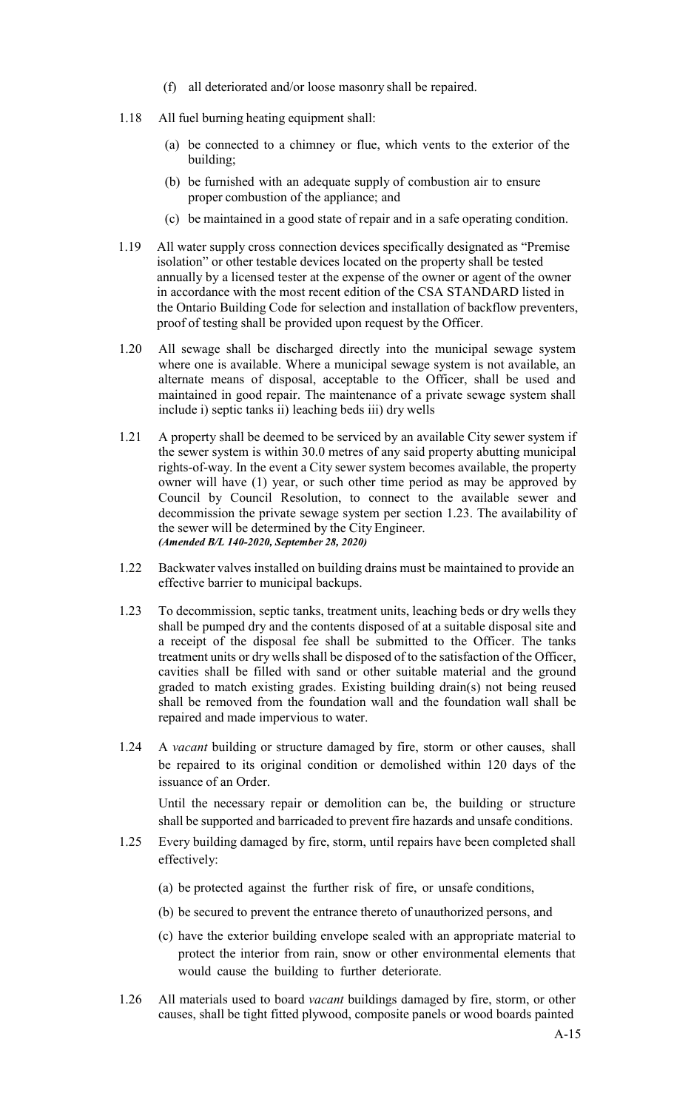- (f) all deteriorated and/or loose masonry shall be repaired.
- 1.18 All fuel burning heating equipment shall:
	- (a) be connected to a chimney or flue, which vents to the exterior of the building;
	- (b) be furnished with an adequate supply of combustion air to ensure proper combustion of the appliance; and
	- (c) be maintained in a good state of repair and in a safe operating condition.
- 1.19 All water supply cross connection devices specifically designated as "Premise isolation" or other testable devices located on the property shall be tested annually by a licensed tester at the expense of the owner or agent of the owner in accordance with the most recent edition of the CSA STANDARD listed in the Ontario Building Code for selection and installation of backflow preventers, proof of testing shall be provided upon request by the Officer.
- 1.20 All sewage shall be discharged directly into the municipal sewage system where one is available. Where a municipal sewage system is not available, an alternate means of disposal, acceptable to the Officer, shall be used and maintained in good repair. The maintenance of a private sewage system shall include i) septic tanks ii) leaching beds iii) dry wells
- 1.21 A property shall be deemed to be serviced by an available City sewer system if the sewer system is within 30.0 metres of any said property abutting municipal rights-of-way. In the event a City sewer system becomes available, the property owner will have (1) year, or such other time period as may be approved by Council by Council Resolution, to connect to the available sewer and decommission the private sewage system per section 1.23. The availability of the sewer will be determined by the City Engineer. *(Amended B/L 140-2020, September 28, 2020)*
- 1.22 Backwater valves installed on building drains must be maintained to provide an effective barrier to municipal backups.
- 1.23 To decommission, septic tanks, treatment units, leaching beds or dry wells they shall be pumped dry and the contents disposed of at a suitable disposal site and a receipt of the disposal fee shall be submitted to the Officer. The tanks treatment units or dry wells shall be disposed of to the satisfaction of the Officer, cavities shall be filled with sand or other suitable material and the ground graded to match existing grades. Existing building drain(s) not being reused shall be removed from the foundation wall and the foundation wall shall be repaired and made impervious to water.
- 1.24 A *vacant* building or structure damaged by fire, storm or other causes, shall be repaired to its original condition or demolished within 120 days of the issuance of an Order.

Until the necessary repair or demolition can be, the building or structure shall be supported and barricaded to prevent fire hazards and unsafe conditions.

- 1.25 Every building damaged by fire, storm, until repairs have been completed shall effectively:
	- (a) be protected against the further risk of fire, or unsafe conditions,
	- (b) be secured to prevent the entrance thereto of unauthorized persons, and
	- (c) have the exterior building envelope sealed with an appropriate material to protect the interior from rain, snow or other environmental elements that would cause the building to further deteriorate.
- 1.26 All materials used to board *vacant* buildings damaged by fire, storm, or other causes, shall be tight fitted plywood, composite panels or wood boards painted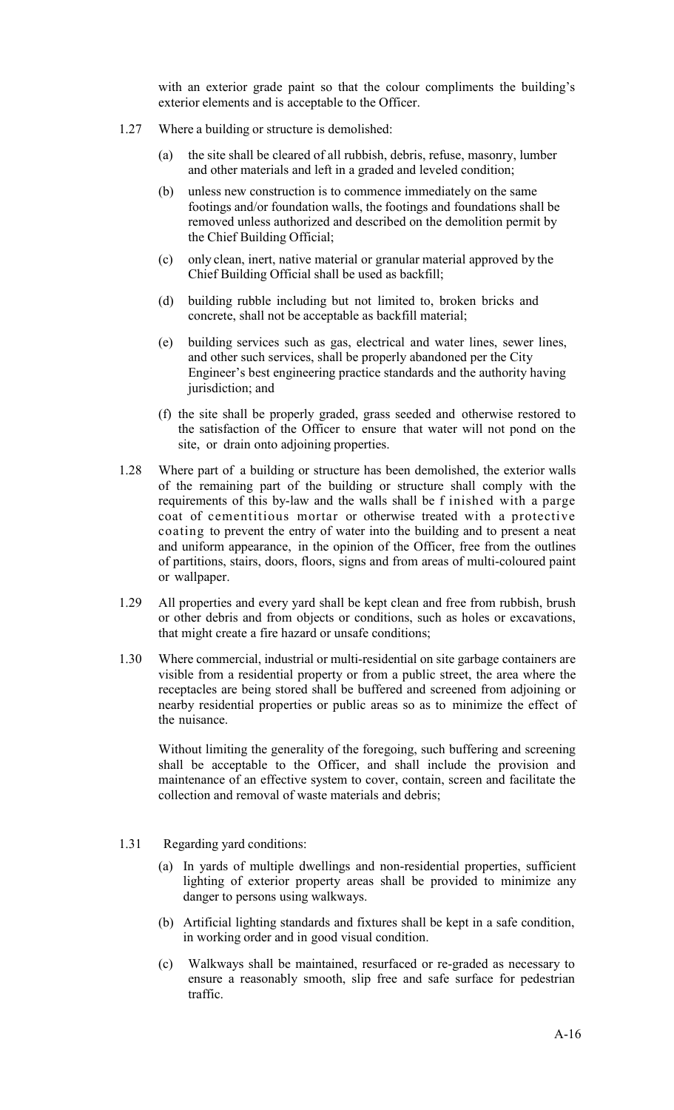with an exterior grade paint so that the colour compliments the building's exterior elements and is acceptable to the Officer.

- 1.27 Where a building or structure is demolished:
	- (a) the site shall be cleared of all rubbish, debris, refuse, masonry, lumber and other materials and left in a graded and leveled condition;
	- (b) unless new construction is to commence immediately on the same footings and/or foundation walls, the footings and foundations shall be removed unless authorized and described on the demolition permit by the Chief Building Official;
	- (c) only clean, inert, native material or granular material approved by the Chief Building Official shall be used as backfill;
	- (d) building rubble including but not limited to, broken bricks and concrete, shall not be acceptable as backfill material;
	- (e) building services such as gas, electrical and water lines, sewer lines, and other such services, shall be properly abandoned per the City Engineer's best engineering practice standards and the authority having jurisdiction; and
	- (f) the site shall be properly graded, grass seeded and otherwise restored to the satisfaction of the Officer to ensure that water will not pond on the site, or drain onto adjoining properties.
- 1.28 Where part of a building or structure has been demolished, the exterior walls of the remaining part of the building or structure shall comply with the requirements of this by-law and the walls shall be f inished with a parge coat of cementitious mortar or otherwise treated with a protective coating to prevent the entry of water into the building and to present a neat and uniform appearance, in the opinion of the Officer, free from the outlines of partitions, stairs, doors, floors, signs and from areas of multi-coloured paint or wallpaper.
- 1.29 All properties and every yard shall be kept clean and free from rubbish, brush or other debris and from objects or conditions, such as holes or excavations, that might create a fire hazard or unsafe conditions;
- 1.30 Where commercial, industrial or multi-residential on site garbage containers are visible from a residential property or from a public street, the area where the receptacles are being stored shall be buffered and screened from adjoining or nearby residential properties or public areas so as to minimize the effect of the nuisance.

Without limiting the generality of the foregoing, such buffering and screening shall be acceptable to the Officer, and shall include the provision and maintenance of an effective system to cover, contain, screen and facilitate the collection and removal of waste materials and debris;

- 1.31 Regarding yard conditions:
	- (a) In yards of multiple dwellings and non-residential properties, sufficient lighting of exterior property areas shall be provided to minimize any danger to persons using walkways.
	- (b) Artificial lighting standards and fixtures shall be kept in a safe condition, in working order and in good visual condition.
	- (c) Walkways shall be maintained, resurfaced or re-graded as necessary to ensure a reasonably smooth, slip free and safe surface for pedestrian traffic.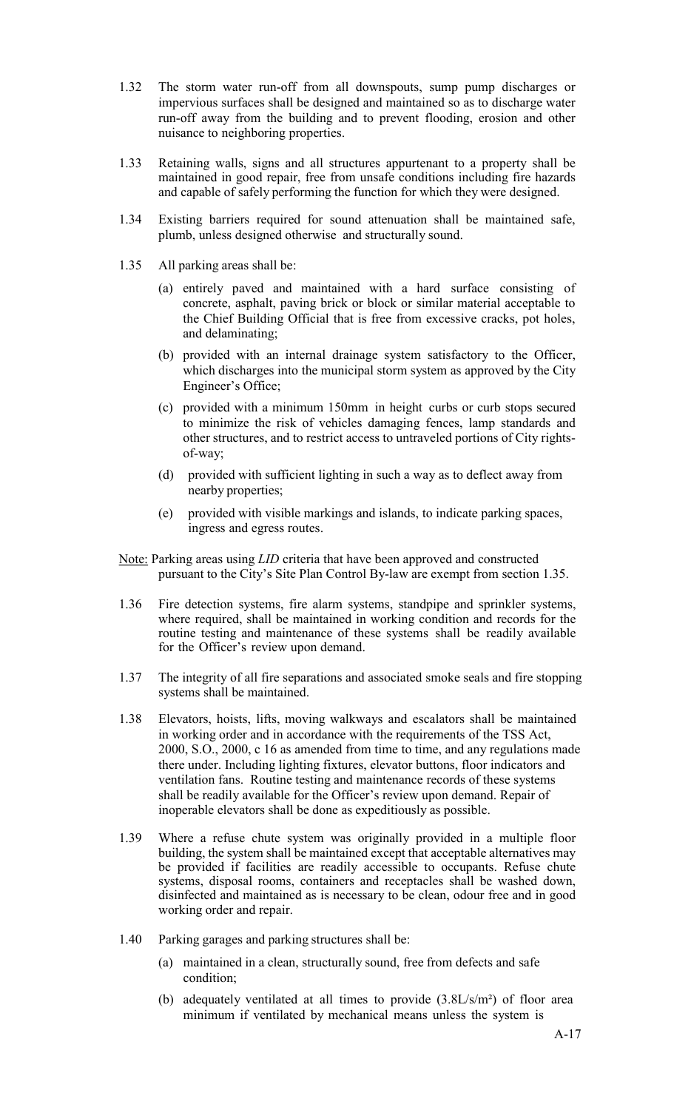- 1.32 The storm water run-off from all downspouts, sump pump discharges or impervious surfaces shall be designed and maintained so as to discharge water run-off away from the building and to prevent flooding, erosion and other nuisance to neighboring properties.
- 1.33 Retaining walls, signs and all structures appurtenant to a property shall be maintained in good repair, free from unsafe conditions including fire hazards and capable of safely performing the function for which they were designed.
- 1.34 Existing barriers required for sound attenuation shall be maintained safe, plumb, unless designed otherwise and structurally sound.
- 1.35 All parking areas shall be:
	- (a) entirely paved and maintained with a hard surface consisting of concrete, asphalt, paving brick or block or similar material acceptable to the Chief Building Official that is free from excessive cracks, pot holes, and delaminating;
	- (b) provided with an internal drainage system satisfactory to the Officer, which discharges into the municipal storm system as approved by the City Engineer's Office;
	- (c) provided with a minimum 150mm in height curbs or curb stops secured to minimize the risk of vehicles damaging fences, lamp standards and other structures, and to restrict access to untraveled portions of City rightsof-way;
	- (d) provided with sufficient lighting in such a way as to deflect away from nearby properties;
	- (e) provided with visible markings and islands, to indicate parking spaces, ingress and egress routes.
- Note: Parking areas using *LID* criteria that have been approved and constructed pursuant to the City's Site Plan Control By-law are exempt from section 1.35.
- 1.36 Fire detection systems, fire alarm systems, standpipe and sprinkler systems, where required, shall be maintained in working condition and records for the routine testing and maintenance of these systems shall be readily available for the Officer's review upon demand.
- 1.37 The integrity of all fire separations and associated smoke seals and fire stopping systems shall be maintained.
- 1.38 Elevators, hoists, lifts, moving walkways and escalators shall be maintained in working order and in accordance with the requirements of the TSS Act, 2000, S.O., 2000, c 16 as amended from time to time, and any regulations made there under. Including lighting fixtures, elevator buttons, floor indicators and ventilation fans. Routine testing and maintenance records of these systems shall be readily available for the Officer's review upon demand. Repair of inoperable elevators shall be done as expeditiously as possible.
- 1.39 Where a refuse chute system was originally provided in a multiple floor building, the system shall be maintained except that acceptable alternatives may be provided if facilities are readily accessible to occupants. Refuse chute systems, disposal rooms, containers and receptacles shall be washed down, disinfected and maintained as is necessary to be clean, odour free and in good working order and repair.
- 1.40 Parking garages and parking structures shall be:
	- (a) maintained in a clean, structurally sound, free from defects and safe condition;
	- (b) adequately ventilated at all times to provide (3.8L/s/m²) of floor area minimum if ventilated by mechanical means unless the system is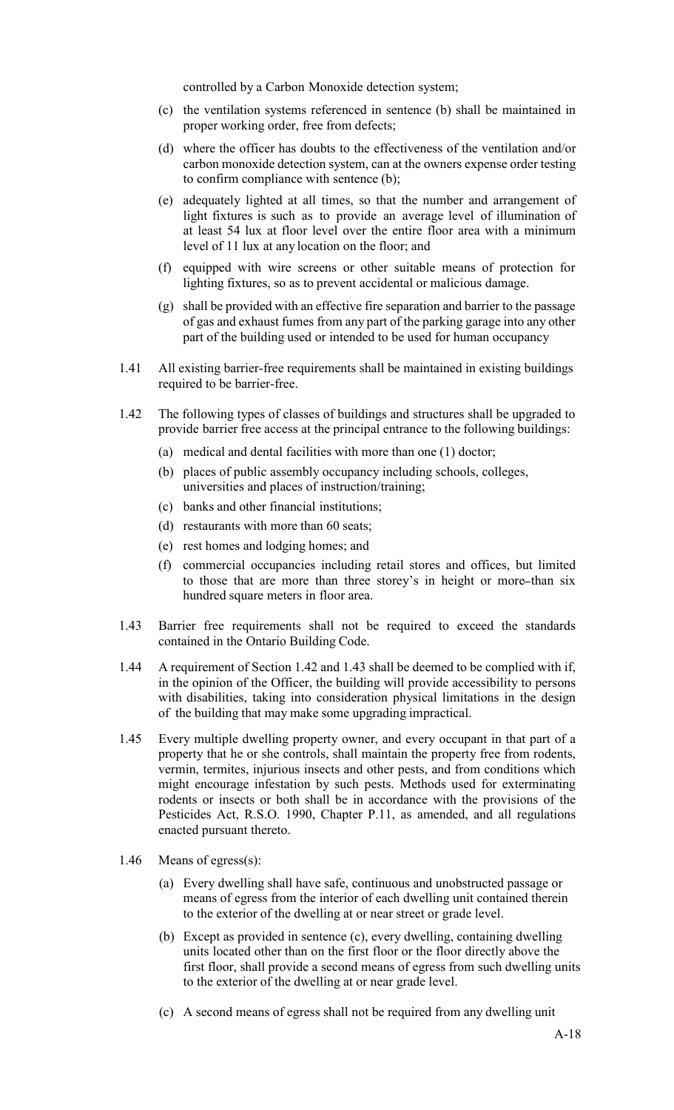controlled by a Carbon Monoxide detection system;

- (c) the ventilation systems referenced in sentence (b) shall be maintained in proper working order, free from defects;
- (d) where the officer has doubts to the effectiveness of the ventilation and/or carbon monoxide detection system, can at the owners expense order testing to confirm compliance with sentence (b);
- (e) adequately lighted at all times, so that the number and arrangement of light fixtures is such as to provide an average level of illumination of at least 54 lux at floor level over the entire floor area with a minimum level of 11 lux at any location on the floor; and
- (f) equipped with wire screens or other suitable means of protection for lighting fixtures, so as to prevent accidental or malicious damage.
- (g) shall be provided with an effective fire separation and barrier to the passage of gas and exhaust fumes from any part of the parking garage into any other part of the building used or intended to be used for human occupancy
- 1.41 All existing barrier-free requirements shall be maintained in existing buildings required to be barrier-free.
- 1.42 The following types of classes of buildings and structures shall be upgraded to provide barrier free access at the principal entrance to the following buildings:
	- (a) medical and dental facilities with more than one (1) doctor;
	- (b) places of public assembly occupancy including schools, colleges, universities and places of instruction/training;
	- (c) banks and other financial institutions;
	- (d) restaurants with more than 60 seats;
	- (e) rest homes and lodging homes; and
	- (f) commercial occupancies including retail stores and offices, but limited to those that are more than three storey's in height or more than six hundred square meters in floor area.
- 1.43 Barrier free requirements shall not be required to exceed the standards contained in the Ontario Building Code.
- 1.44 A requirement of Section 1.42 and 1.43 shall be deemed to be complied with if, in the opinion of the Officer, the building will provide accessibility to persons with disabilities, taking into consideration physical limitations in the design of the building that may make some upgrading impractical.
- 1.45 Every multiple dwelling property owner, and every occupant in that part of a property that he or she controls, shall maintain the property free from rodents, vermin, termites, injurious insects and other pests, and from conditions which might encourage infestation by such pests. Methods used for exterminating rodents or insects or both shall be in accordance with the provisions of the Pesticides Act, R.S.O. 1990, Chapter P.11, as amended, and all regulations enacted pursuant thereto.
- 1.46 Means of egress(s):
	- (a) Every dwelling shall have safe, continuous and unobstructed passage or means of egress from the interior of each dwelling unit contained therein to the exterior of the dwelling at or near street or grade level.
	- (b) Except as provided in sentence (c), every dwelling, containing dwelling units located other than on the first floor or the floor directly above the first floor, shall provide a second means of egress from such dwelling units to the exterior of the dwelling at or near grade level.
	- (c) A second means of egress shall not be required from any dwelling unit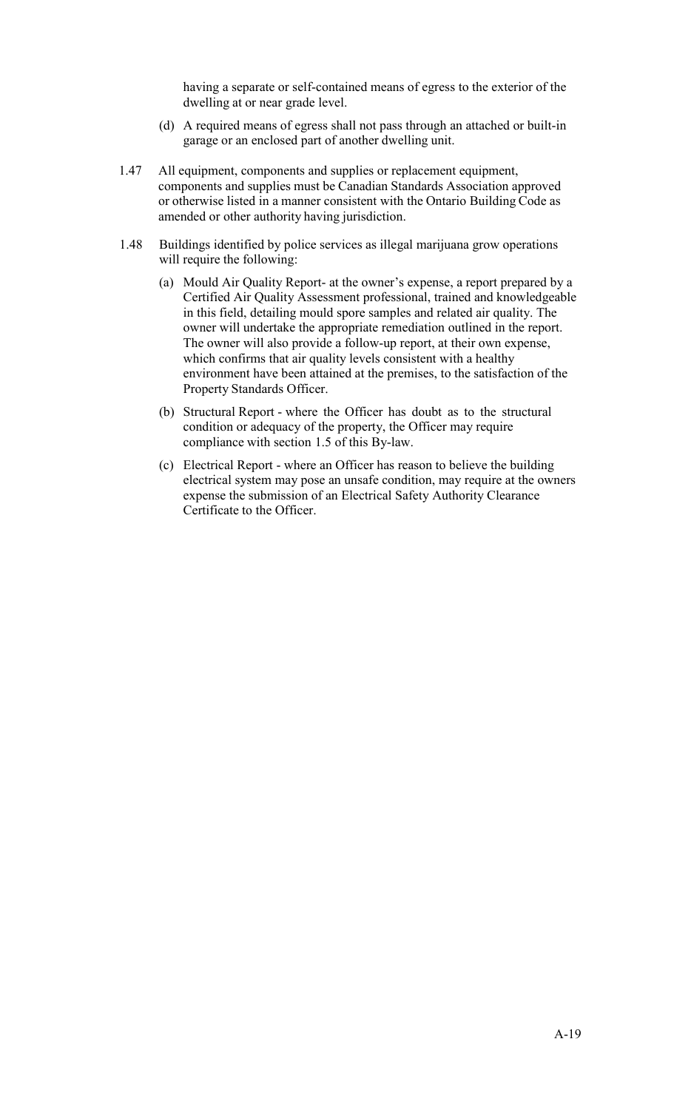having a separate or self-contained means of egress to the exterior of the dwelling at or near grade level.

- (d) A required means of egress shall not pass through an attached or built-in garage or an enclosed part of another dwelling unit.
- 1.47 All equipment, components and supplies or replacement equipment, components and supplies must be Canadian Standards Association approved or otherwise listed in a manner consistent with the Ontario Building Code as amended or other authority having jurisdiction.
- 1.48 Buildings identified by police services as illegal marijuana grow operations will require the following:
	- (a) Mould Air Quality Report- at the owner's expense, a report prepared by a Certified Air Quality Assessment professional, trained and knowledgeable in this field, detailing mould spore samples and related air quality. The owner will undertake the appropriate remediation outlined in the report. The owner will also provide a follow-up report, at their own expense, which confirms that air quality levels consistent with a healthy environment have been attained at the premises, to the satisfaction of the Property Standards Officer.
	- (b) Structural Report where the Officer has doubt as to the structural condition or adequacy of the property, the Officer may require compliance with section 1.5 of this By-law.
	- (c) Electrical Report where an Officer has reason to believe the building electrical system may pose an unsafe condition, may require at the owners expense the submission of an Electrical Safety Authority Clearance Certificate to the Officer.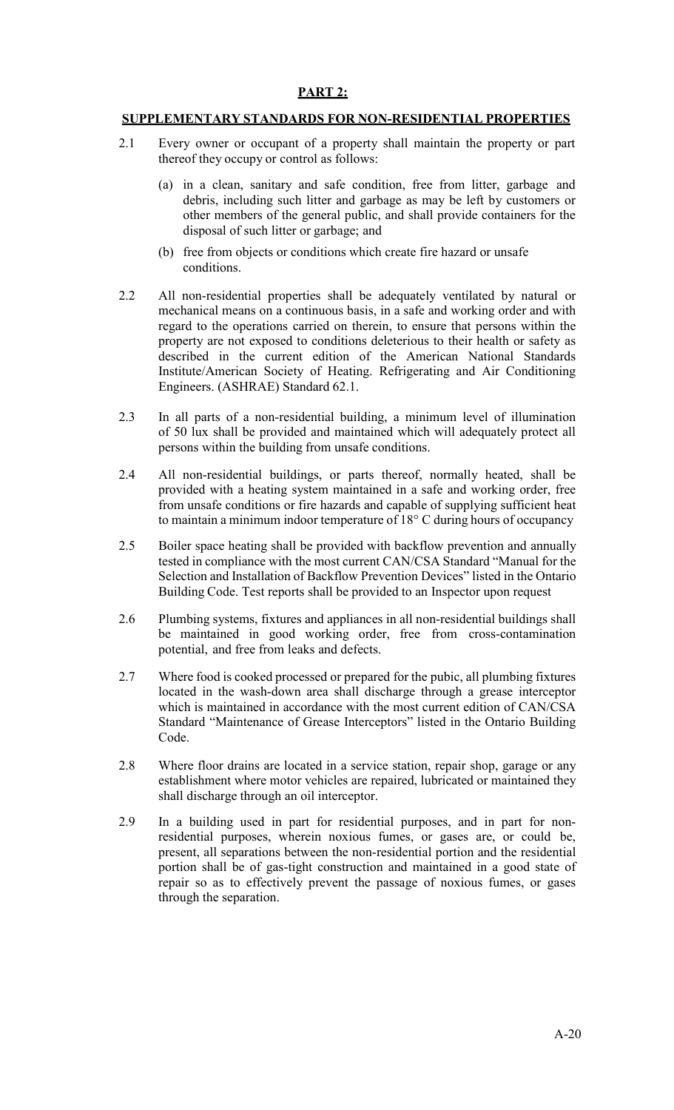### **PART 2:**

#### **SUPPLEMENTARY STANDARDS FOR NON-RESIDENTIAL PROPERTIES**

- 2.1 Every owner or occupant of a property shall maintain the property or part thereof they occupy or control as follows:
	- (a) in a clean, sanitary and safe condition, free from litter, garbage and debris, including such litter and garbage as may be left by customers or other members of the general public, and shall provide containers for the disposal of such litter or garbage; and
	- (b) free from objects or conditions which create fire hazard or unsafe conditions.
- 2.2 All non-residential properties shall be adequately ventilated by natural or mechanical means on a continuous basis, in a safe and working order and with regard to the operations carried on therein, to ensure that persons within the property are not exposed to conditions deleterious to their health or safety as described in the current edition of the American National Standards Institute/American Society of Heating. Refrigerating and Air Conditioning Engineers. (ASHRAE) Standard 62.1.
- 2.3 In all parts of a non-residential building, a minimum level of illumination of 50 lux shall be provided and maintained which will adequately protect all persons within the building from unsafe conditions.
- 2.4 All non-residential buildings, or parts thereof, normally heated, shall be provided with a heating system maintained in a safe and working order, free from unsafe conditions or fire hazards and capable of supplying sufficient heat to maintain a minimum indoor temperature of 18° C during hours of occupancy
- 2.5 Boiler space heating shall be provided with backflow prevention and annually tested in compliance with the most current CAN/CSA Standard "Manual for the Selection and Installation of Backflow Prevention Devices" listed in the Ontario Building Code. Test reports shall be provided to an Inspector upon request
- 2.6 Plumbing systems, fixtures and appliances in all non-residential buildings shall be maintained in good working order, free from cross-contamination potential, and free from leaks and defects.
- 2.7 Where food is cooked processed or prepared for the pubic, all plumbing fixtures located in the wash-down area shall discharge through a grease interceptor which is maintained in accordance with the most current edition of CAN/CSA Standard "Maintenance of Grease Interceptors" listed in the Ontario Building Code.
- 2.8 Where floor drains are located in a service station, repair shop, garage or any establishment where motor vehicles are repaired, lubricated or maintained they shall discharge through an oil interceptor.
- 2.9 In a building used in part for residential purposes, and in part for nonresidential purposes, wherein noxious fumes, or gases are, or could be, present, all separations between the non-residential portion and the residential portion shall be of gas-tight construction and maintained in a good state of repair so as to effectively prevent the passage of noxious fumes, or gases through the separation.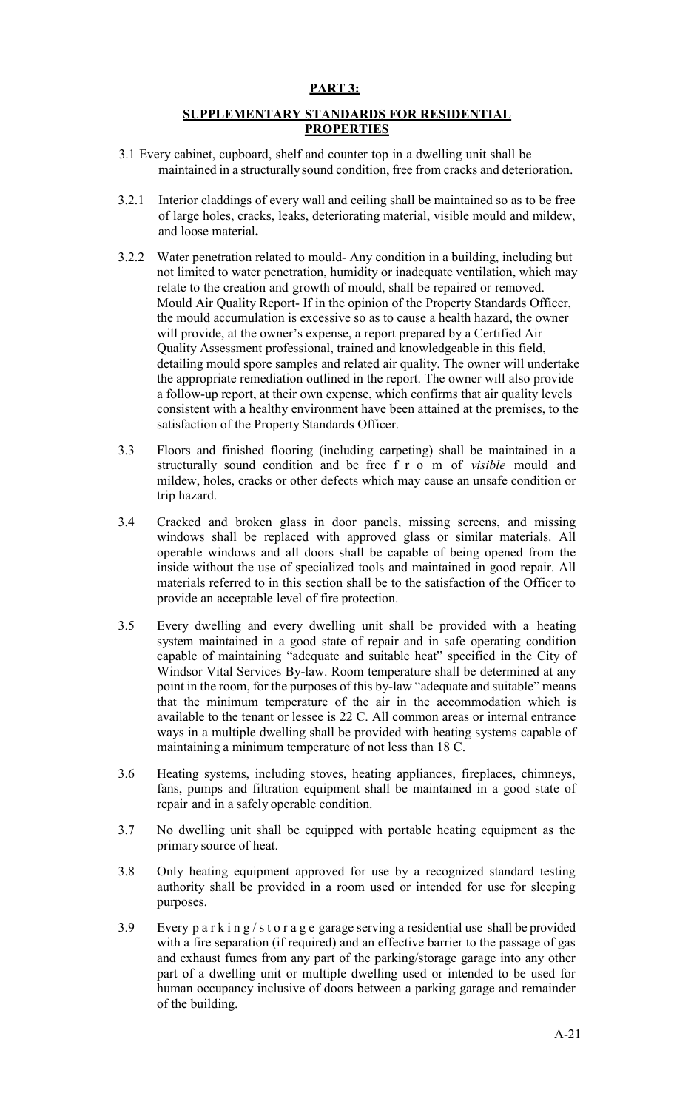## **PART 3:**

## **SUPPLEMENTARY STANDARDS FOR RESIDENTIAL PROPERTIES**

- 3.1 Every cabinet, cupboard, shelf and counter top in a dwelling unit shall be maintained in a structurallysound condition, free from cracks and deterioration.
- 3.2.1 Interior claddings of every wall and ceiling shall be maintained so as to be free of large holes, cracks, leaks, deteriorating material, visible mould and mildew, and loose material**.**
- 3.2.2 Water penetration related to mould- Any condition in a building, including but not limited to water penetration, humidity or inadequate ventilation, which may relate to the creation and growth of mould, shall be repaired or removed. Mould Air Quality Report- If in the opinion of the Property Standards Officer, the mould accumulation is excessive so as to cause a health hazard, the owner will provide, at the owner's expense, a report prepared by a Certified Air Quality Assessment professional, trained and knowledgeable in this field, detailing mould spore samples and related air quality. The owner will undertake the appropriate remediation outlined in the report. The owner will also provide a follow-up report, at their own expense, which confirms that air quality levels consistent with a healthy environment have been attained at the premises, to the satisfaction of the Property Standards Officer.
- 3.3 Floors and finished flooring (including carpeting) shall be maintained in a structurally sound condition and be free f r o m of *visible* mould and mildew, holes, cracks or other defects which may cause an unsafe condition or trip hazard.
- 3.4 Cracked and broken glass in door panels, missing screens, and missing windows shall be replaced with approved glass or similar materials. All operable windows and all doors shall be capable of being opened from the inside without the use of specialized tools and maintained in good repair. All materials referred to in this section shall be to the satisfaction of the Officer to provide an acceptable level of fire protection.
- 3.5 Every dwelling and every dwelling unit shall be provided with a heating system maintained in a good state of repair and in safe operating condition capable of maintaining "adequate and suitable heat" specified in the City of Windsor Vital Services By-law. Room temperature shall be determined at any point in the room, for the purposes of this by-law "adequate and suitable" means that the minimum temperature of the air in the accommodation which is available to the tenant or lessee is 22 C. All common areas or internal entrance ways in a multiple dwelling shall be provided with heating systems capable of maintaining a minimum temperature of not less than 18 C.
- 3.6 Heating systems, including stoves, heating appliances, fireplaces, chimneys, fans, pumps and filtration equipment shall be maintained in a good state of repair and in a safely operable condition.
- 3.7 No dwelling unit shall be equipped with portable heating equipment as the primary source of heat.
- 3.8 Only heating equipment approved for use by a recognized standard testing authority shall be provided in a room used or intended for use for sleeping purposes.
- 3.9 Every  $p a r k i n g / s t o r a g e gara g e s s' r i g a r s' s' d' e t' i s s' s h a l b e p r o v i d e d$ with a fire separation (if required) and an effective barrier to the passage of gas and exhaust fumes from any part of the parking/storage garage into any other part of a dwelling unit or multiple dwelling used or intended to be used for human occupancy inclusive of doors between a parking garage and remainder of the building.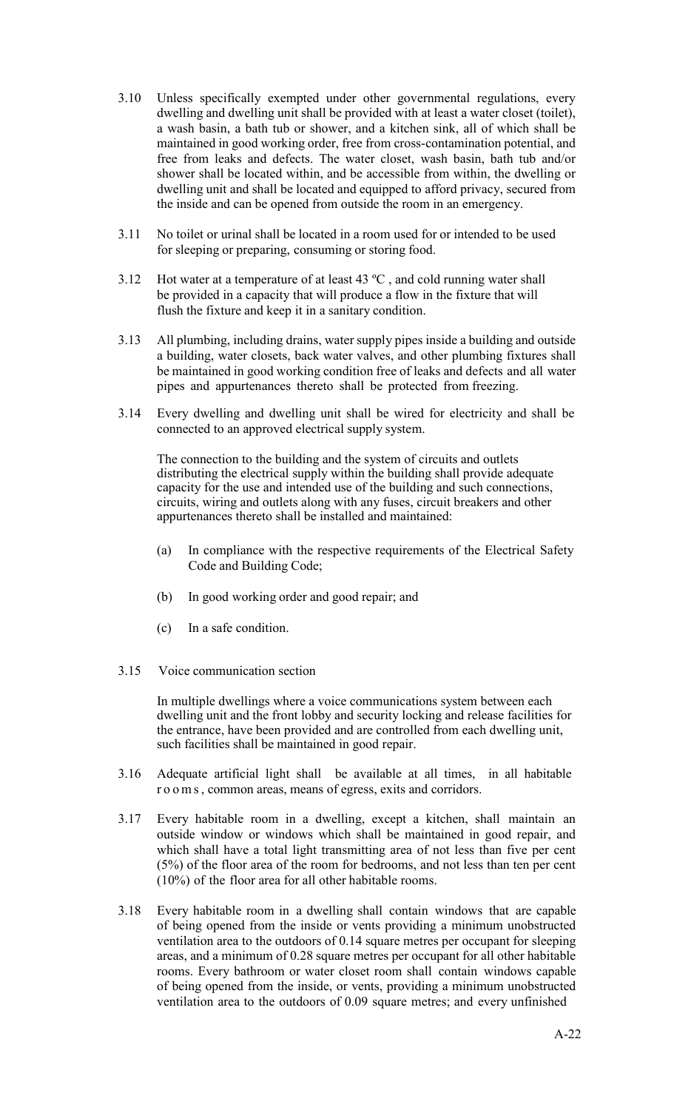- 3.10 Unless specifically exempted under other governmental regulations, every dwelling and dwelling unit shall be provided with at least a water closet (toilet), a wash basin, a bath tub or shower, and a kitchen sink, all of which shall be maintained in good working order, free from cross-contamination potential, and free from leaks and defects. The water closet, wash basin, bath tub and/or shower shall be located within, and be accessible from within, the dwelling or dwelling unit and shall be located and equipped to afford privacy, secured from the inside and can be opened from outside the room in an emergency.
- 3.11 No toilet or urinal shall be located in a room used for or intended to be used for sleeping or preparing, consuming or storing food.
- 3.12 Hot water at a temperature of at least  $43 \text{ °C}$ , and cold running water shall be provided in a capacity that will produce a flow in the fixture that will flush the fixture and keep it in a sanitary condition.
- 3.13 All plumbing, including drains, water supply pipes inside a building and outside a building, water closets, back water valves, and other plumbing fixtures shall be maintained in good working condition free of leaks and defects and all water pipes and appurtenances thereto shall be protected from freezing.
- 3.14 Every dwelling and dwelling unit shall be wired for electricity and shall be connected to an approved electrical supply system.

The connection to the building and the system of circuits and outlets distributing the electrical supply within the building shall provide adequate capacity for the use and intended use of the building and such connections, circuits, wiring and outlets along with any fuses, circuit breakers and other appurtenances thereto shall be installed and maintained:

- (a) In compliance with the respective requirements of the Electrical Safety Code and Building Code;
- (b) In good working order and good repair; and
- (c) In a safe condition.
- 3.15 Voice communication section

In multiple dwellings where a voice communications system between each dwelling unit and the front lobby and security locking and release facilities for the entrance, have been provided and are controlled from each dwelling unit, such facilities shall be maintained in good repair.

- 3.16 Adequate artificial light shall be available at all times, in all habitable r o o m s, common areas, means of egress, exits and corridors.
- 3.17 Every habitable room in a dwelling, except a kitchen, shall maintain an outside window or windows which shall be maintained in good repair, and which shall have a total light transmitting area of not less than five per cent (5%) of the floor area of the room for bedrooms, and not less than ten per cent (10%) of the floor area for all other habitable rooms.
- 3.18 Every habitable room in a dwelling shall contain windows that are capable of being opened from the inside or vents providing a minimum unobstructed ventilation area to the outdoors of 0.14 square metres per occupant for sleeping areas, and a minimum of 0.28 square metres per occupant for all other habitable rooms. Every bathroom or water closet room shall contain windows capable of being opened from the inside, or vents, providing a minimum unobstructed ventilation area to the outdoors of 0.09 square metres; and every unfinished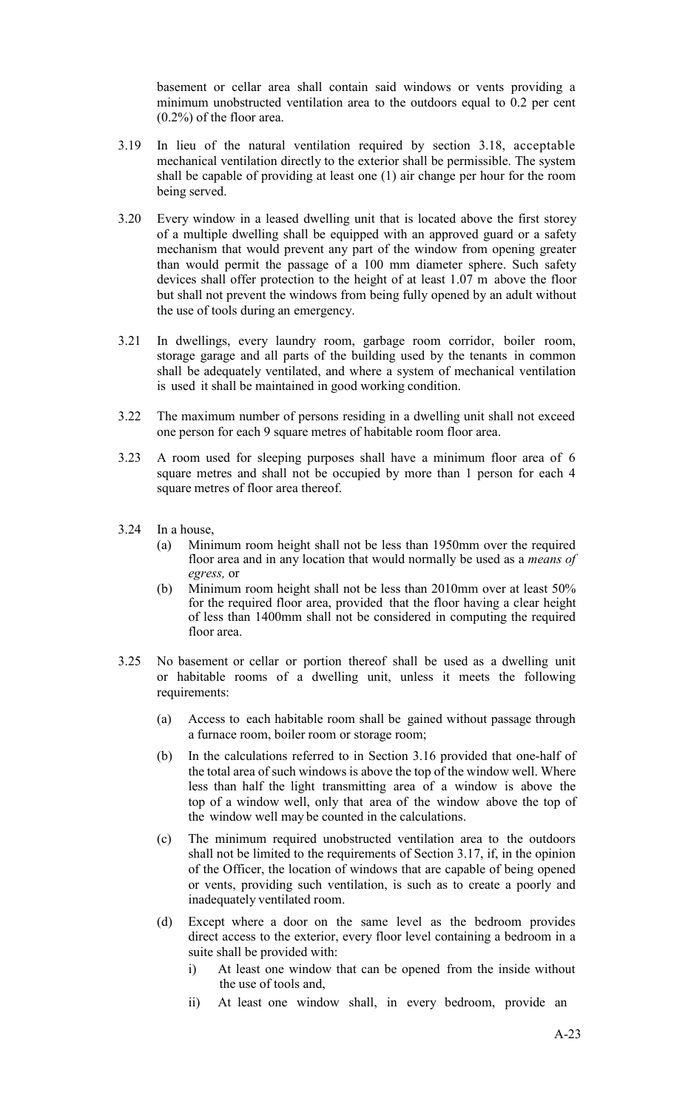basement or cellar area shall contain said windows or vents providing a minimum unobstructed ventilation area to the outdoors equal to 0.2 per cent (0.2%) of the floor area.

- 3.19 In lieu of the natural ventilation required by section 3.18, acceptable mechanical ventilation directly to the exterior shall be permissible. The system shall be capable of providing at least one (1) air change per hour for the room being served.
- 3.20 Every window in a leased dwelling unit that is located above the first storey of a multiple dwelling shall be equipped with an approved guard or a safety mechanism that would prevent any part of the window from opening greater than would permit the passage of a 100 mm diameter sphere. Such safety devices shall offer protection to the height of at least 1.07 m above the floor but shall not prevent the windows from being fully opened by an adult without the use of tools during an emergency.
- 3.21 In dwellings, every laundry room, garbage room corridor, boiler room, storage garage and all parts of the building used by the tenants in common shall be adequately ventilated, and where a system of mechanical ventilation is used it shall be maintained in good working condition.
- 3.22 The maximum number of persons residing in a dwelling unit shall not exceed one person for each 9 square metres of habitable room floor area.
- 3.23 A room used for sleeping purposes shall have a minimum floor area of 6 square metres and shall not be occupied by more than 1 person for each 4 square metres of floor area thereof.
- 3.24 In a house,
	- (a) Minimum room height shall not be less than 1950mm over the required floor area and in any location that would normally be used as a *means of egress,* or
	- (b) Minimum room height shall not be less than 2010mm over at least 50% for the required floor area, provided that the floor having a clear height of less than 1400mm shall not be considered in computing the required floor area.
- 3.25 No basement or cellar or portion thereof shall be used as a dwelling unit or habitable rooms of a dwelling unit, unless it meets the following requirements:
	- (a) Access to each habitable room shall be gained without passage through a furnace room, boiler room or storage room;
	- (b) In the calculations referred to in Section 3.16 provided that one-half of the total area of such windows is above the top of the window well. Where less than half the light transmitting area of a window is above the top of a window well, only that area of the window above the top of the window well may be counted in the calculations.
	- (c) The minimum required unobstructed ventilation area to the outdoors shall not be limited to the requirements of Section 3.17, if, in the opinion of the Officer, the location of windows that are capable of being opened or vents, providing such ventilation, is such as to create a poorly and inadequately ventilated room.
	- (d) Except where a door on the same level as the bedroom provides direct access to the exterior, every floor level containing a bedroom in a suite shall be provided with:
		- i) At least one window that can be opened from the inside without the use of tools and,
		- ii) At least one window shall, in every bedroom, provide an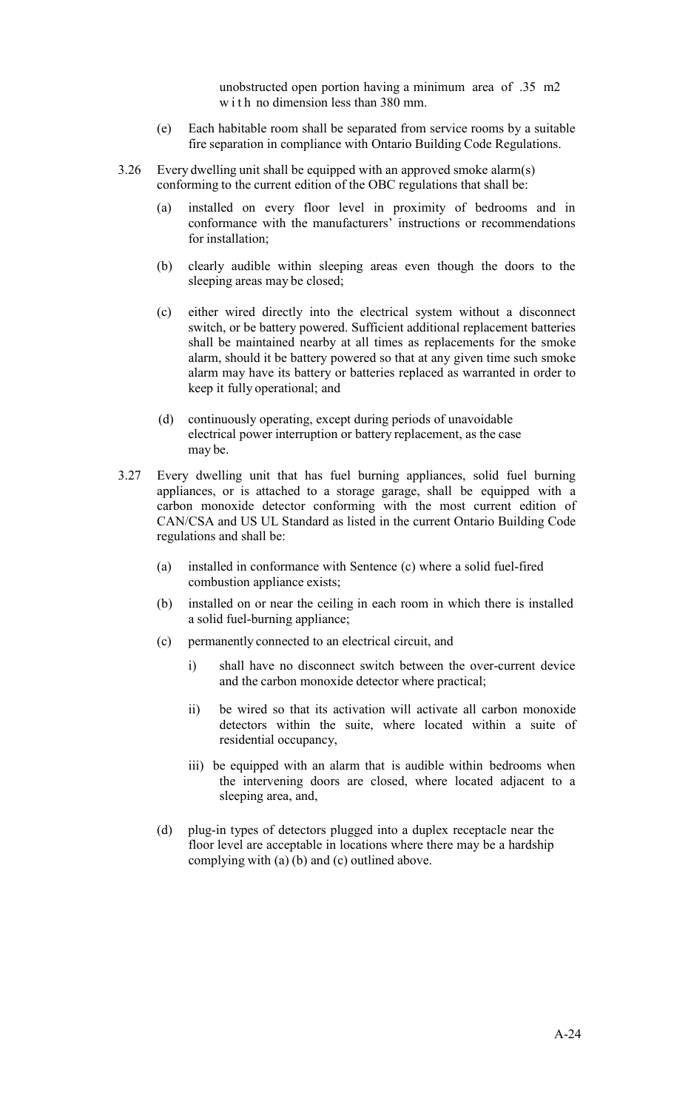unobstructed open portion having a minimum area of .35 m2 w i t h no dimension less than 380 mm.

- (e) Each habitable room shall be separated from service rooms by a suitable fire separation in compliance with Ontario Building Code Regulations.
- 3.26 Every dwelling unit shall be equipped with an approved smoke alarm(s) conforming to the current edition of the OBC regulations that shall be:
	- (a) installed on every floor level in proximity of bedrooms and in conformance with the manufacturers' instructions or recommendations for installation;
	- (b) clearly audible within sleeping areas even though the doors to the sleeping areas may be closed;
	- (c) either wired directly into the electrical system without a disconnect switch, or be battery powered. Sufficient additional replacement batteries shall be maintained nearby at all times as replacements for the smoke alarm, should it be battery powered so that at any given time such smoke alarm may have its battery or batteries replaced as warranted in order to keep it fully operational; and
	- (d) continuously operating, except during periods of unavoidable electrical power interruption or battery replacement, as the case may be.
- 3.27 Every dwelling unit that has fuel burning appliances, solid fuel burning appliances, or is attached to a storage garage, shall be equipped with a carbon monoxide detector conforming with the most current edition of CAN/CSA and US UL Standard as listed in the current Ontario Building Code regulations and shall be:
	- (a) installed in conformance with Sentence (c) where a solid fuel-fired combustion appliance exists;
	- (b) installed on or near the ceiling in each room in which there is installed a solid fuel-burning appliance;
	- (c) permanently connected to an electrical circuit, and
		- i) shall have no disconnect switch between the over-current device and the carbon monoxide detector where practical;
		- ii) be wired so that its activation will activate all carbon monoxide detectors within the suite, where located within a suite of residential occupancy,
		- iii) be equipped with an alarm that is audible within bedrooms when the intervening doors are closed, where located adjacent to a sleeping area, and,
	- (d) plug-in types of detectors plugged into a duplex receptacle near the floor level are acceptable in locations where there may be a hardship complying with (a) (b) and (c) outlined above.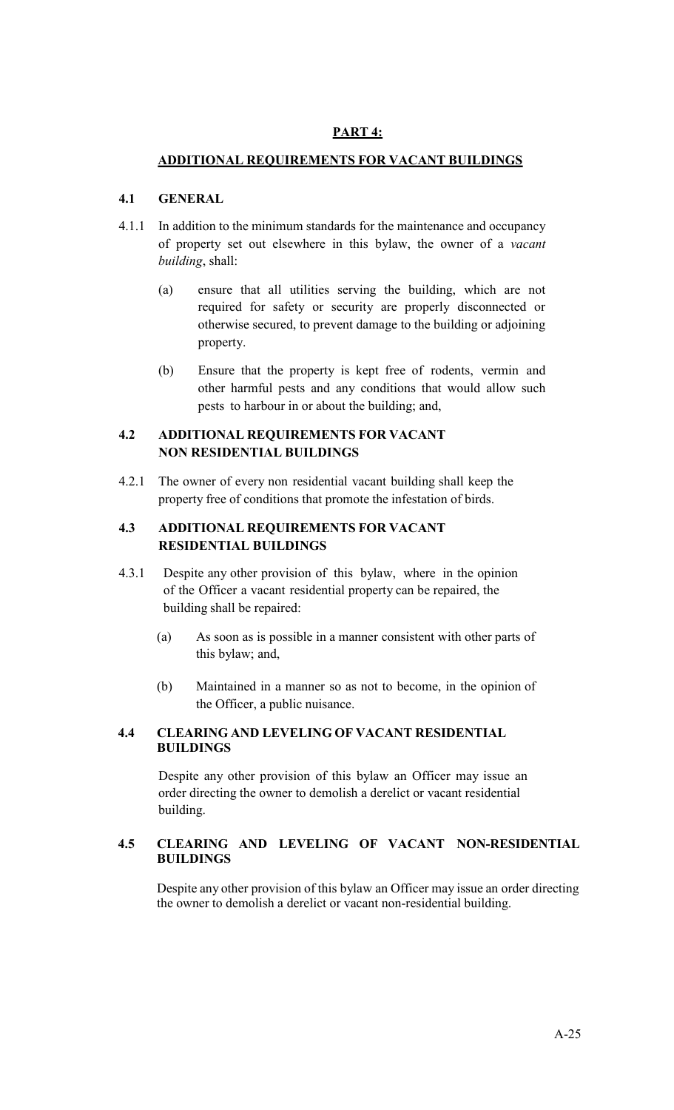# **PART 4:**

# **ADDITIONAL REQUIREMENTS FOR VACANT BUILDINGS**

# **4.1 GENERAL**

- 4.1.1 In addition to the minimum standards for the maintenance and occupancy of property set out elsewhere in this bylaw, the owner of a *vacant building*, shall:
	- (a) ensure that all utilities serving the building, which are not required for safety or security are properly disconnected or otherwise secured, to prevent damage to the building or adjoining property.
	- (b) Ensure that the property is kept free of rodents, vermin and other harmful pests and any conditions that would allow such pests to harbour in or about the building; and,

# **4.2 ADDITIONAL REQUIREMENTS FOR VACANT NON RESIDENTIAL BUILDINGS**

4.2.1 The owner of every non residential vacant building shall keep the property free of conditions that promote the infestation of birds.

# **4.3 ADDITIONAL REQUIREMENTS FOR VACANT RESIDENTIAL BUILDINGS**

- 4.3.1 Despite any other provision of this bylaw, where in the opinion of the Officer a vacant residential property can be repaired, the building shall be repaired:
	- (a) As soon as is possible in a manner consistent with other parts of this bylaw; and,
	- (b) Maintained in a manner so as not to become, in the opinion of the Officer, a public nuisance.

## **4.4 CLEARING AND LEVELING OF VACANT RESIDENTIAL BUILDINGS**

Despite any other provision of this bylaw an Officer may issue an order directing the owner to demolish a derelict or vacant residential building.

## **4.5 CLEARING AND LEVELING OF VACANT NON-RESIDENTIAL BUILDINGS**

Despite any other provision of this bylaw an Officer may issue an order directing the owner to demolish a derelict or vacant non-residential building.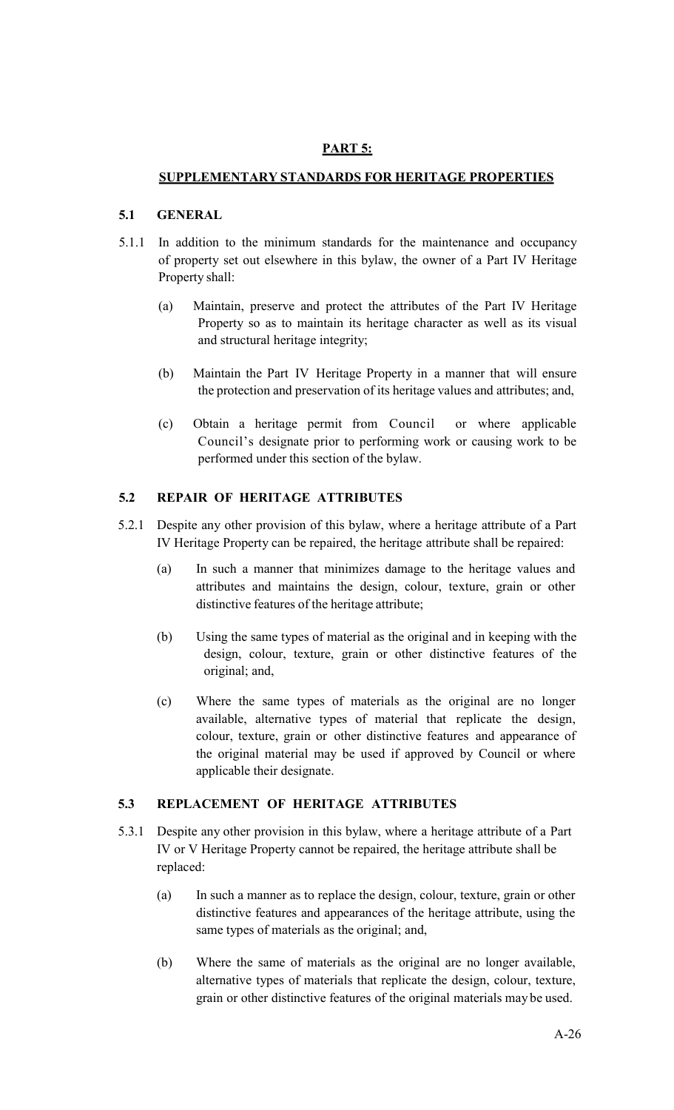# **PART 5:**

# **SUPPLEMENTARY STANDARDS FOR HERITAGE PROPERTIES**

### **5.1 GENERAL**

- 5.1.1 In addition to the minimum standards for the maintenance and occupancy of property set out elsewhere in this bylaw, the owner of a Part IV Heritage Property shall:
	- (a) Maintain, preserve and protect the attributes of the Part IV Heritage Property so as to maintain its heritage character as well as its visual and structural heritage integrity;
	- (b) Maintain the Part IV Heritage Property in a manner that will ensure the protection and preservation of its heritage values and attributes; and,
	- (c) Obtain a heritage permit from Council or where applicable Council's designate prior to performing work or causing work to be performed under this section of the bylaw.

# **5.2 REPAIR OF HERITAGE ATTRIBUTES**

- 5.2.1 Despite any other provision of this bylaw, where a heritage attribute of a Part IV Heritage Property can be repaired, the heritage attribute shall be repaired:
	- (a) In such a manner that minimizes damage to the heritage values and attributes and maintains the design, colour, texture, grain or other distinctive features of the heritage attribute;
	- (b) Using the same types of material as the original and in keeping with the design, colour, texture, grain or other distinctive features of the original; and,
	- (c) Where the same types of materials as the original are no longer available, alternative types of material that replicate the design, colour, texture, grain or other distinctive features and appearance of the original material may be used if approved by Council or where applicable their designate.

## **5.3 REPLACEMENT OF HERITAGE ATTRIBUTES**

- 5.3.1 Despite any other provision in this bylaw, where a heritage attribute of a Part IV or V Heritage Property cannot be repaired, the heritage attribute shall be replaced:
	- (a) In such a manner as to replace the design, colour, texture, grain or other distinctive features and appearances of the heritage attribute, using the same types of materials as the original; and,
	- (b) Where the same of materials as the original are no longer available, alternative types of materials that replicate the design, colour, texture, grain or other distinctive features of the original materials may be used.